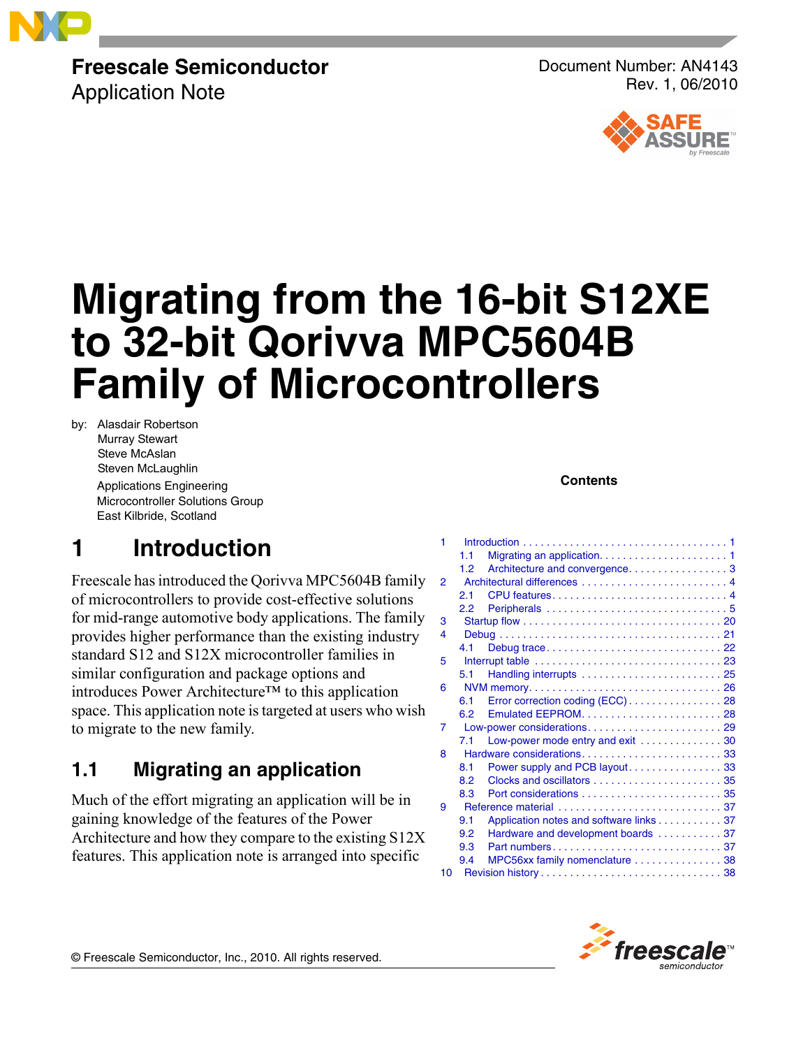

## **Freescale Semiconductor** Application Note

Document Number: AN4143 Rev. 1, 06/2010



# **Migrating from the 16-bit S12XE to 32-bit Qorivva MPC5604B Family of Microcontrollers**

by: Alasdair Robertson Murray Stewart Steve McAslan Steven McLaughlin Applications Engineering Microcontroller Solutions Group East Kilbride, Scotland

### **Contents**

# <span id="page-0-0"></span>**1 Introduction**

Freescale has introduced the Qorivva MPC5604B family of microcontrollers to provide cost-effective solutions for mid-range automotive body applications. The family provides higher performance than the existing industry standard S12 and S12X microcontroller families in similar configuration and package options and introduces Power Architecture™ to this application space. This application note is targeted at users who wish to migrate to the new family.

## <span id="page-0-1"></span>**1.1 Migrating an application**

Much of the effort migrating an application will be in gaining knowledge of the features of the Power Architecture and how they compare to the existing S12X features. This application note is arranged into specific

| 1              |                  |                                         |
|----------------|------------------|-----------------------------------------|
|                | 1.1              |                                         |
|                | 1.2 <sub>1</sub> |                                         |
| $\overline{2}$ |                  |                                         |
|                | 2.1              |                                         |
|                | 2.2              |                                         |
| 3              |                  |                                         |
| 4              |                  |                                         |
|                | 4.1              |                                         |
| 5              |                  |                                         |
|                | 5.1              |                                         |
| 6              |                  |                                         |
|                | 6.1              | Error correction coding (ECC) 28        |
|                | 6.2              |                                         |
| 7              |                  |                                         |
|                | 7.1              | Low-power mode entry and exit  30       |
| 8              |                  |                                         |
|                | 8.1              | Power supply and PCB layout33           |
|                | 8.2              |                                         |
|                | 8.3              |                                         |
| 9              |                  |                                         |
|                | 9.1              | Application notes and software links 37 |
|                | 9.2              | Hardware and development boards  37     |
|                | 9.3              |                                         |
|                | 9.4              | MPC56xx family nomenclature  38         |
| 10             |                  |                                         |
|                |                  |                                         |



© Freescale Semiconductor, Inc., 2010. All rights reserved.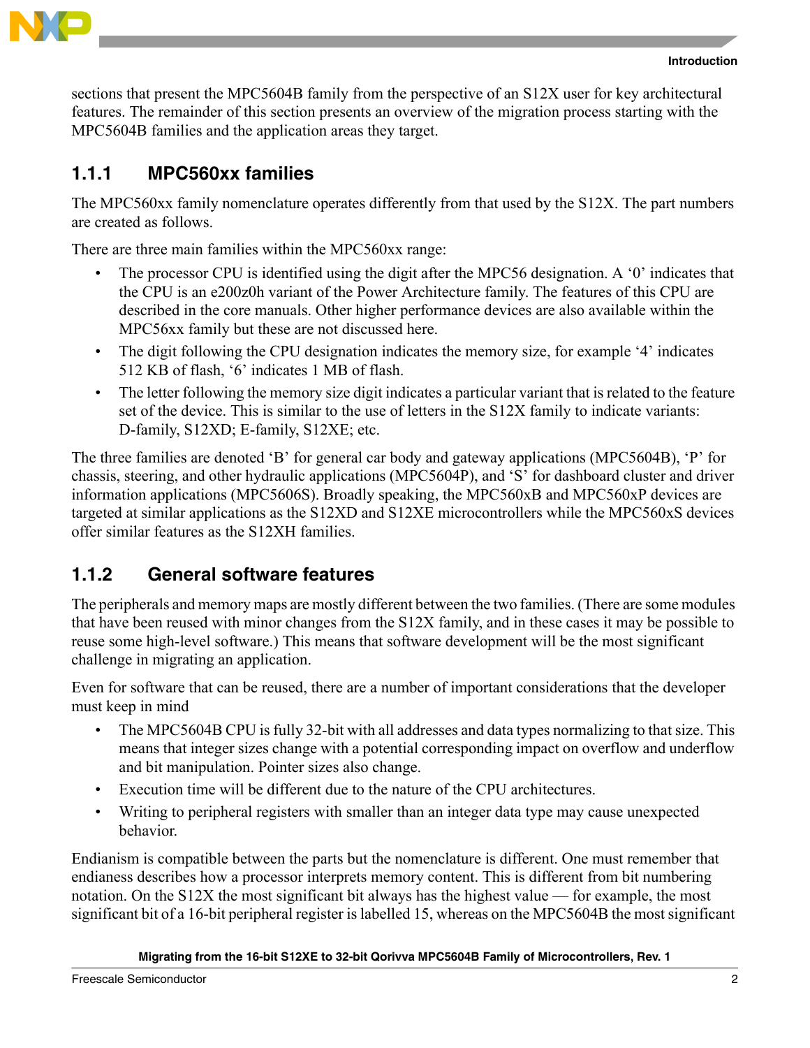

sections that present the MPC5604B family from the perspective of an S12X user for key architectural features. The remainder of this section presents an overview of the migration process starting with the MPC5604B families and the application areas they target.

## **1.1.1 MPC560xx families**

The MPC560xx family nomenclature operates differently from that used by the S12X. The part numbers are created as follows.

There are three main families within the MPC560xx range:

- The processor CPU is identified using the digit after the MPC56 designation. A '0' indicates that the CPU is an e200z0h variant of the Power Architecture family. The features of this CPU are described in the core manuals. Other higher performance devices are also available within the MPC56xx family but these are not discussed here.
- The digit following the CPU designation indicates the memory size, for example '4' indicates 512 KB of flash, '6' indicates 1 MB of flash.
- The letter following the memory size digit indicates a particular variant that is related to the feature set of the device. This is similar to the use of letters in the S12X family to indicate variants: D-family, S12XD; E-family, S12XE; etc.

The three families are denoted 'B' for general car body and gateway applications (MPC5604B), 'P' for chassis, steering, and other hydraulic applications (MPC5604P), and 'S' for dashboard cluster and driver information applications (MPC5606S). Broadly speaking, the MPC560xB and MPC560xP devices are targeted at similar applications as the S12XD and S12XE microcontrollers while the MPC560xS devices offer similar features as the S12XH families.

## **1.1.2 General software features**

The peripherals and memory maps are mostly different between the two families. (There are some modules that have been reused with minor changes from the S12X family, and in these cases it may be possible to reuse some high-level software.) This means that software development will be the most significant challenge in migrating an application.

Even for software that can be reused, there are a number of important considerations that the developer must keep in mind

- The MPC5604B CPU is fully 32-bit with all addresses and data types normalizing to that size. This means that integer sizes change with a potential corresponding impact on overflow and underflow and bit manipulation. Pointer sizes also change.
- Execution time will be different due to the nature of the CPU architectures.
- Writing to peripheral registers with smaller than an integer data type may cause unexpected behavior.

Endianism is compatible between the parts but the nomenclature is different. One must remember that endianess describes how a processor interprets memory content. This is different from bit numbering notation. On the S12X the most significant bit always has the highest value — for example, the most significant bit of a 16-bit peripheral register is labelled 15, whereas on the MPC5604B the most significant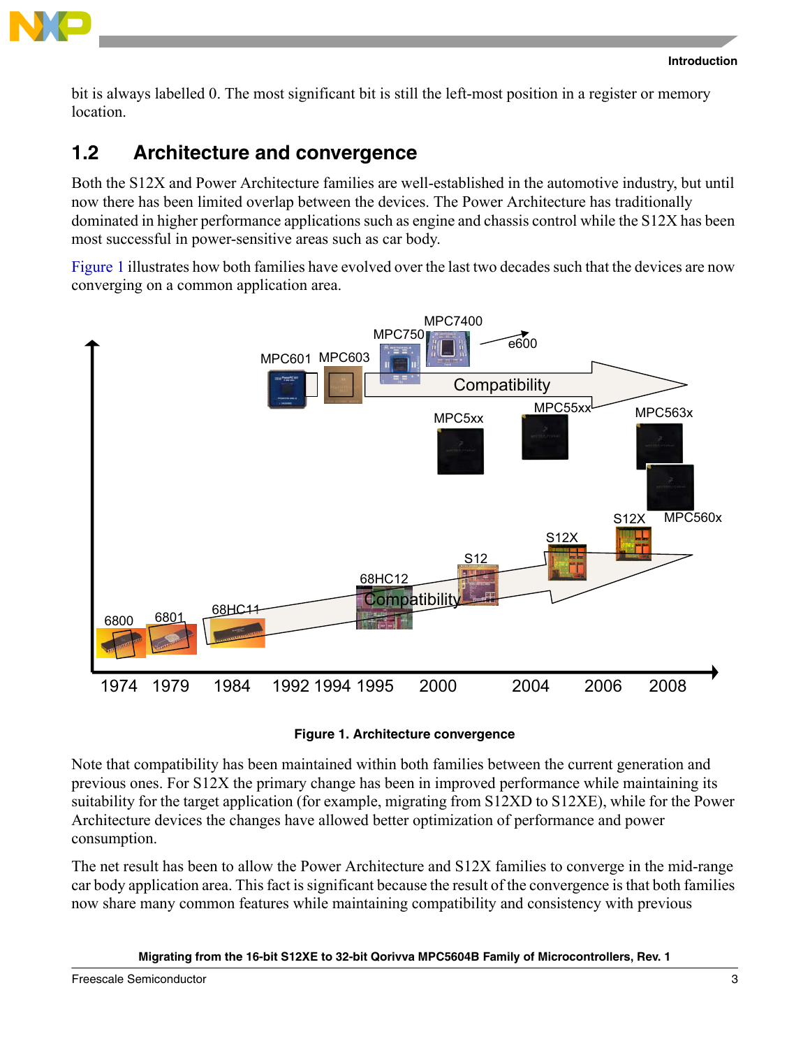

bit is always labelled 0. The most significant bit is still the left-most position in a register or memory location.

## <span id="page-2-0"></span>**1.2 Architecture and convergence**

Both the S12X and Power Architecture families are well-established in the automotive industry, but until now there has been limited overlap between the devices. The Power Architecture has traditionally dominated in higher performance applications such as engine and chassis control while the S12X has been most successful in power-sensitive areas such as car body.

[Figure 1](#page-2-1) illustrates how both families have evolved over the last two decades such that the devices are now converging on a common application area.



### **Figure 1. Architecture convergence**

<span id="page-2-1"></span>Note that compatibility has been maintained within both families between the current generation and previous ones. For S12X the primary change has been in improved performance while maintaining its suitability for the target application (for example, migrating from S12XD to S12XE), while for the Power Architecture devices the changes have allowed better optimization of performance and power consumption.

The net result has been to allow the Power Architecture and S12X families to converge in the mid-range car body application area. This fact is significant because the result of the convergence is that both families now share many common features while maintaining compatibility and consistency with previous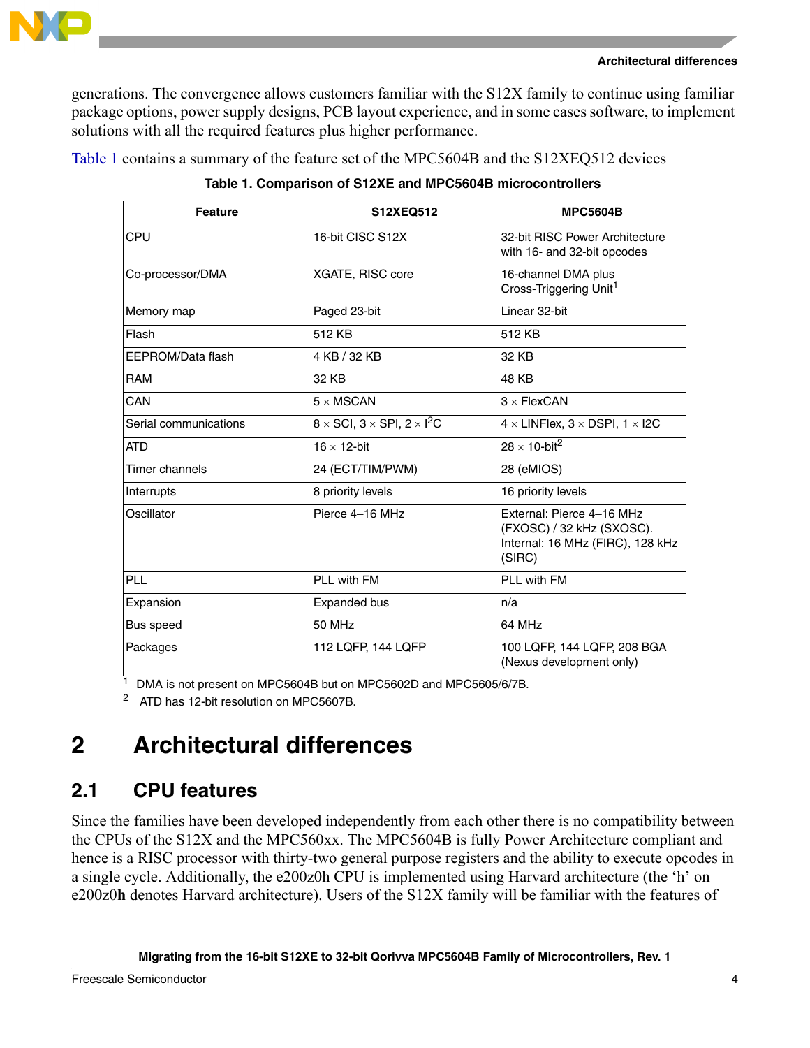

generations. The convergence allows customers familiar with the S12X family to continue using familiar package options, power supply designs, PCB layout experience, and in some cases software, to implement solutions with all the required features plus higher performance.

<span id="page-3-2"></span>[Table 1](#page-3-2) contains a summary of the feature set of the MPC5604B and the S12XEQ512 devices

| <b>Feature</b>        | S12XEQ512                                                   | <b>MPC5604B</b>                                                                                      |
|-----------------------|-------------------------------------------------------------|------------------------------------------------------------------------------------------------------|
| CPU                   | 16-bit CISC S12X                                            | 32-bit RISC Power Architecture<br>with 16- and 32-bit opcodes                                        |
| Co-processor/DMA      | XGATE, RISC core                                            | 16-channel DMA plus<br>Cross-Triggering Unit <sup>1</sup>                                            |
| Memory map            | Paged 23-bit                                                | Linear 32-bit                                                                                        |
| Flash                 | 512 KB                                                      | 512 KB                                                                                               |
| EEPROM/Data flash     | 4 KB / 32 KB                                                | 32 KB                                                                                                |
| <b>RAM</b>            | 32 KB                                                       | 48 KB                                                                                                |
| CAN                   | $5 \times$ MSCAN                                            | $3 \times$ FlexCAN                                                                                   |
| Serial communications | $8 \times$ SCI, $3 \times$ SPI, $2 \times$ l <sup>2</sup> C | $4 \times$ LINFlex, $3 \times$ DSPI, $1 \times$ I2C                                                  |
| <b>ATD</b>            | $16 \times 12$ -bit                                         | $28 \times 10$ -bit <sup>2</sup>                                                                     |
| Timer channels        | 24 (ECT/TIM/PWM)                                            | 28 (eMIOS)                                                                                           |
| Interrupts            | 8 priority levels                                           | 16 priority levels                                                                                   |
| Oscillator            | Pierce 4-16 MHz                                             | External: Pierce 4-16 MHz<br>(FXOSC) / 32 kHz (SXOSC).<br>Internal: 16 MHz (FIRC), 128 kHz<br>(SIRC) |
| PLL                   | PLI with FM                                                 | PLL with FM                                                                                          |
| Expansion             | Expanded bus                                                | n/a                                                                                                  |
| Bus speed             | 50 MHz                                                      | 64 MHz                                                                                               |
| Packages              | 112 LQFP, 144 LQFP                                          | 100 LQFP, 144 LQFP, 208 BGA<br>(Nexus development only)                                              |

**Table 1. Comparison of S12XE and MPC5604B microcontrollers**

<sup>1</sup> DMA is not present on MPC5604B but on MPC5602D and MPC5605/6/7B.

<sup>2</sup> ATD has 12-bit resolution on MPC5607B.

# <span id="page-3-0"></span>**2 Architectural differences**

# <span id="page-3-1"></span>**2.1 CPU features**

Since the families have been developed independently from each other there is no compatibility between the CPUs of the S12X and the MPC560xx. The MPC5604B is fully Power Architecture compliant and hence is a RISC processor with thirty-two general purpose registers and the ability to execute opcodes in a single cycle. Additionally, the e200z0h CPU is implemented using Harvard architecture (the 'h' on e200z0**h** denotes Harvard architecture). Users of the S12X family will be familiar with the features of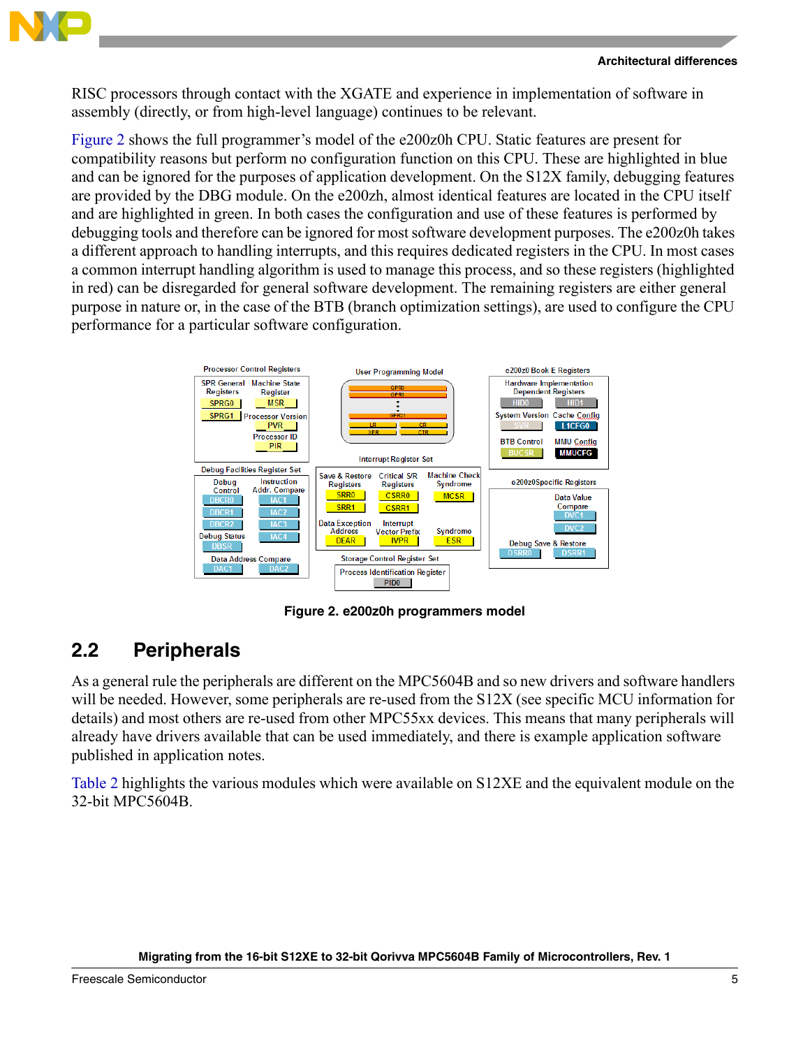

RISC processors through contact with the XGATE and experience in implementation of software in assembly (directly, or from high-level language) continues to be relevant.

[Figure 2](#page-4-1) shows the full programmer's model of the e200z0h CPU. Static features are present for compatibility reasons but perform no configuration function on this CPU. These are highlighted in blue and can be ignored for the purposes of application development. On the S12X family, debugging features are provided by the DBG module. On the e200zh, almost identical features are located in the CPU itself and are highlighted in green. In both cases the configuration and use of these features is performed by debugging tools and therefore can be ignored for most software development purposes. The e200z0h takes a different approach to handling interrupts, and this requires dedicated registers in the CPU. In most cases a common interrupt handling algorithm is used to manage this process, and so these registers (highlighted in red) can be disregarded for general software development. The remaining registers are either general purpose in nature or, in the case of the BTB (branch optimization settings), are used to configure the CPU performance for a particular software configuration.



**Figure 2. e200z0h programmers model**

## <span id="page-4-1"></span><span id="page-4-0"></span>**2.2 Peripherals**

As a general rule the peripherals are different on the MPC5604B and so new drivers and software handlers will be needed. However, some peripherals are re-used from the S12X (see specific MCU information for details) and most others are re-used from other MPC55xx devices. This means that many peripherals will already have drivers available that can be used immediately, and there is example application software published in application notes.

[Table 2](#page-5-0) highlights the various modules which were available on S12XE and the equivalent module on the 32-bit MPC5604B.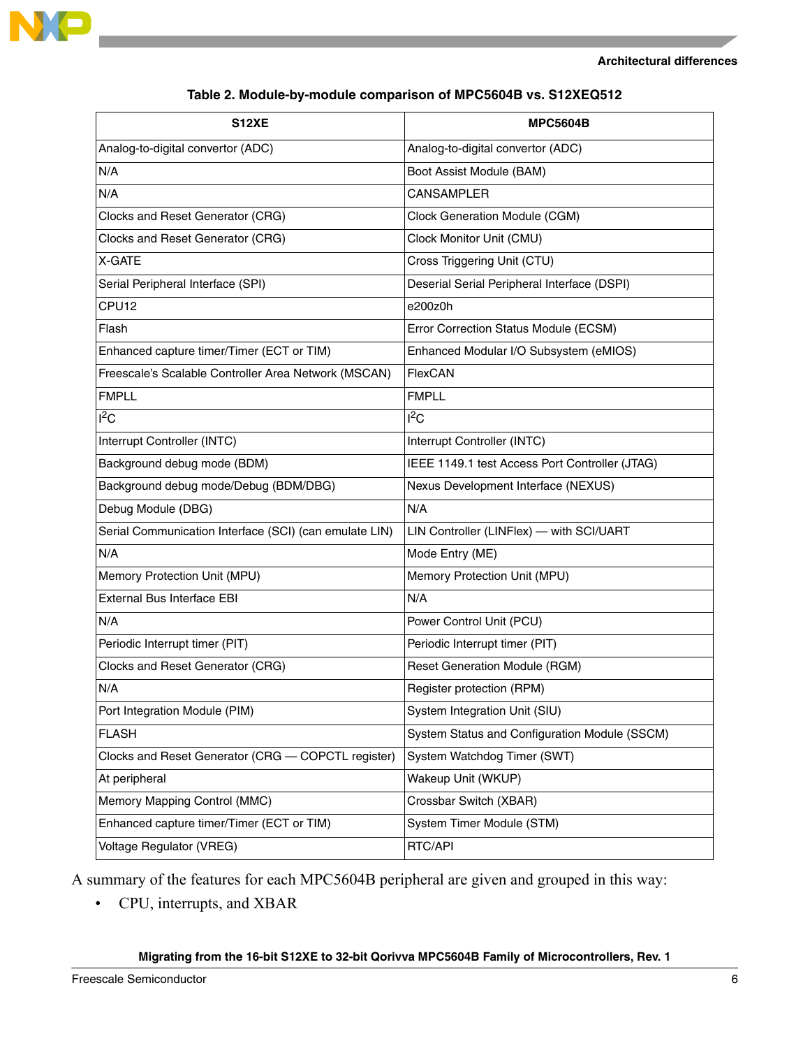

<span id="page-5-0"></span>

| <b>S12XE</b>                                           | <b>MPC5604B</b>                                |
|--------------------------------------------------------|------------------------------------------------|
| Analog-to-digital convertor (ADC)                      | Analog-to-digital convertor (ADC)              |
| N/A                                                    | Boot Assist Module (BAM)                       |
| N/A                                                    | <b>CANSAMPLER</b>                              |
| Clocks and Reset Generator (CRG)                       | <b>Clock Generation Module (CGM)</b>           |
| Clocks and Reset Generator (CRG)                       | Clock Monitor Unit (CMU)                       |
| X-GATE                                                 | Cross Triggering Unit (CTU)                    |
| Serial Peripheral Interface (SPI)                      | Deserial Serial Peripheral Interface (DSPI)    |
| CPU12                                                  | e200z0h                                        |
| Flash                                                  | Error Correction Status Module (ECSM)          |
| Enhanced capture timer/Timer (ECT or TIM)              | Enhanced Modular I/O Subsystem (eMIOS)         |
| Freescale's Scalable Controller Area Network (MSCAN)   | FlexCAN                                        |
| <b>FMPLL</b>                                           | <b>FMPLL</b>                                   |
| $I^2C$                                                 | $1^2C$                                         |
| Interrupt Controller (INTC)                            | Interrupt Controller (INTC)                    |
| Background debug mode (BDM)                            | IEEE 1149.1 test Access Port Controller (JTAG) |
| Background debug mode/Debug (BDM/DBG)                  | Nexus Development Interface (NEXUS)            |
| Debug Module (DBG)                                     | N/A                                            |
| Serial Communication Interface (SCI) (can emulate LIN) | LIN Controller (LINFlex) - with SCI/UART       |
| N/A                                                    | Mode Entry (ME)                                |
| Memory Protection Unit (MPU)                           | Memory Protection Unit (MPU)                   |
| External Bus Interface EBI                             | N/A                                            |
| N/A                                                    | Power Control Unit (PCU)                       |
| Periodic Interrupt timer (PIT)                         | Periodic Interrupt timer (PIT)                 |
| Clocks and Reset Generator (CRG)                       | <b>Reset Generation Module (RGM)</b>           |
| N/A                                                    | Register protection (RPM)                      |
| Port Integration Module (PIM)                          | System Integration Unit (SIU)                  |
| <b>FLASH</b>                                           | System Status and Configuration Module (SSCM)  |
| Clocks and Reset Generator (CRG - COPCTL register)     | System Watchdog Timer (SWT)                    |
| At peripheral                                          | Wakeup Unit (WKUP)                             |
| Memory Mapping Control (MMC)                           | Crossbar Switch (XBAR)                         |
| Enhanced capture timer/Timer (ECT or TIM)              | System Timer Module (STM)                      |
| Voltage Regulator (VREG)                               | RTC/API                                        |

#### **Table 2. Module-by-module comparison of MPC5604B vs. S12XEQ512**

A summary of the features for each MPC5604B peripheral are given and grouped in this way:

• CPU, interrupts, and XBAR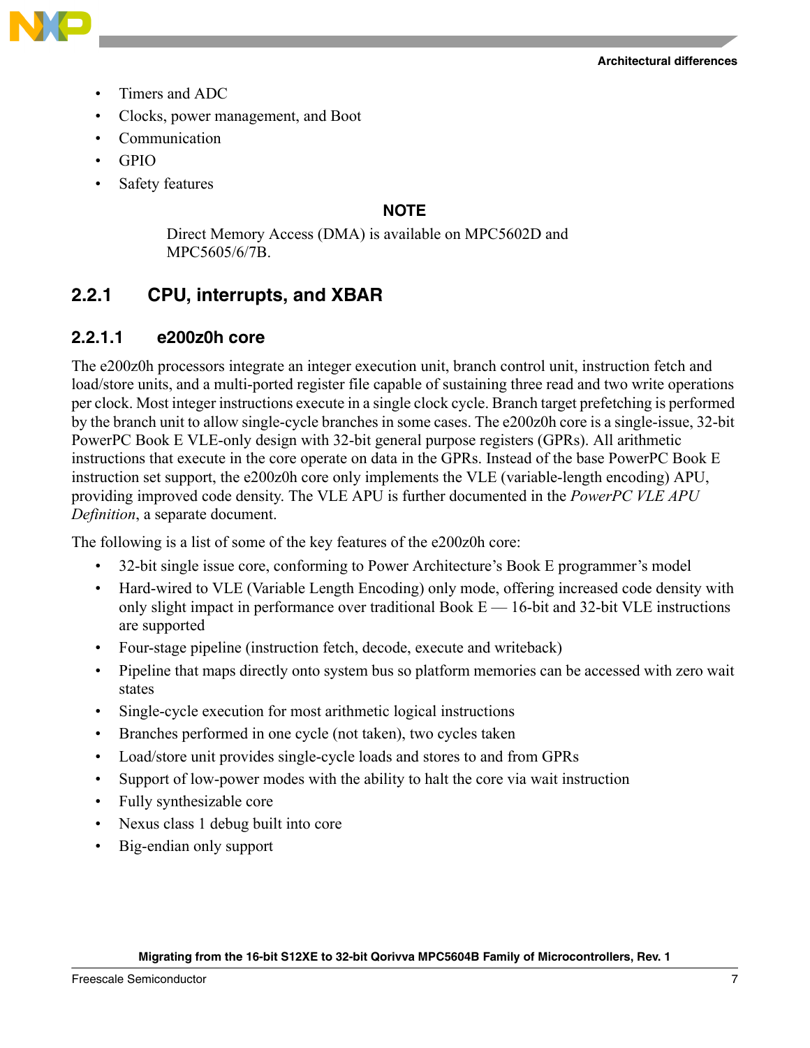



- Timers and ADC
- Clocks, power management, and Boot
- **Communication**
- GPIO
- Safety features

### **NOTE**

Direct Memory Access (DMA) is available on MPC5602D and MPC5605/6/7B.

## **2.2.1 CPU, interrupts, and XBAR**

### **2.2.1.1 e200z0h core**

The e200z0h processors integrate an integer execution unit, branch control unit, instruction fetch and load/store units, and a multi-ported register file capable of sustaining three read and two write operations per clock. Most integer instructions execute in a single clock cycle. Branch target prefetching is performed by the branch unit to allow single-cycle branches in some cases. The e200z0h core is a single-issue, 32-bit PowerPC Book E VLE-only design with 32-bit general purpose registers (GPRs). All arithmetic instructions that execute in the core operate on data in the GPRs. Instead of the base PowerPC Book E instruction set support, the e200z0h core only implements the VLE (variable-length encoding) APU, providing improved code density. The VLE APU is further documented in the *PowerPC VLE APU Definition*, a separate document.

The following is a list of some of the key features of the e200z0h core:

- 32-bit single issue core, conforming to Power Architecture's Book E programmer's model
- Hard-wired to VLE (Variable Length Encoding) only mode, offering increased code density with only slight impact in performance over traditional Book  $E - 16$ -bit and 32-bit VLE instructions are supported
- Four-stage pipeline (instruction fetch, decode, execute and writeback)
- Pipeline that maps directly onto system bus so platform memories can be accessed with zero wait states
- Single-cycle execution for most arithmetic logical instructions
- Branches performed in one cycle (not taken), two cycles taken
- Load/store unit provides single-cycle loads and stores to and from GPRs
- Support of low-power modes with the ability to halt the core via wait instruction
- Fully synthesizable core
- Nexus class 1 debug built into core
- Big-endian only support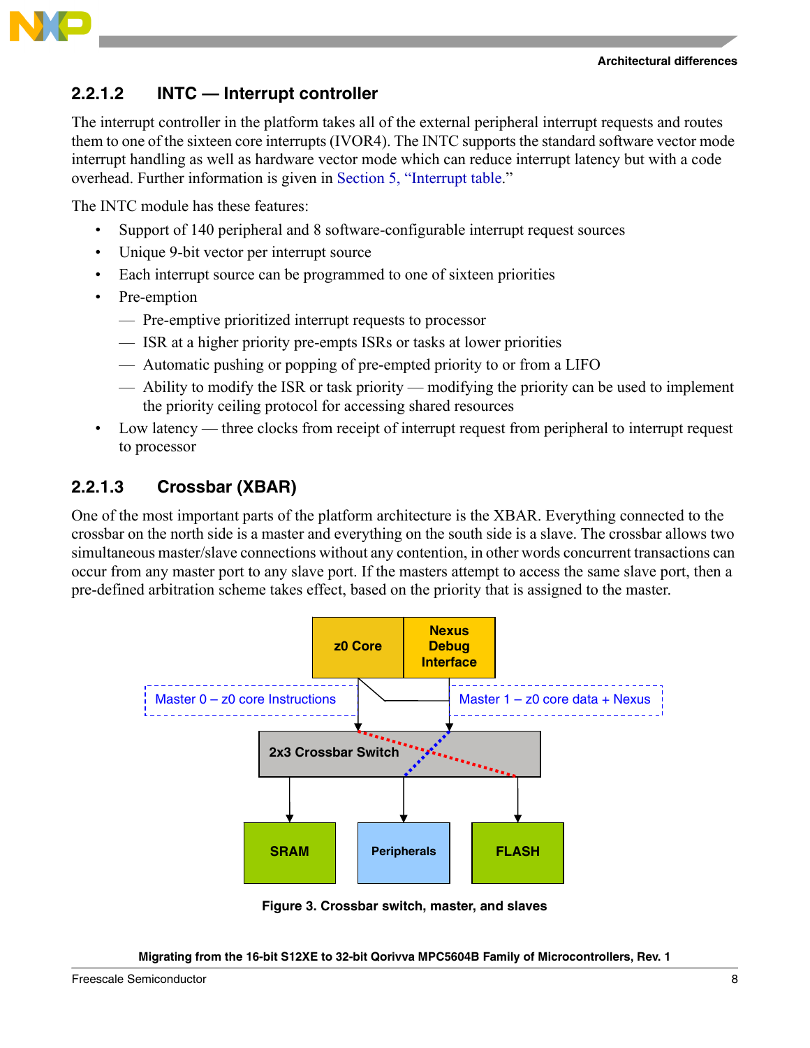



## **2.2.1.2 INTC — Interrupt controller**

The interrupt controller in the platform takes all of the external peripheral interrupt requests and routes them to one of the sixteen core interrupts (IVOR4). The INTC supports the standard software vector mode interrupt handling as well as hardware vector mode which can reduce interrupt latency but with a code overhead. Further information is given in [Section 5, "Interrupt table](#page-22-0)."

The INTC module has these features:

- Support of 140 peripheral and 8 software-configurable interrupt request sources
- Unique 9-bit vector per interrupt source
- Each interrupt source can be programmed to one of sixteen priorities
- Pre-emption
	- Pre-emptive prioritized interrupt requests to processor
	- ISR at a higher priority pre-empts ISRs or tasks at lower priorities
	- Automatic pushing or popping of pre-empted priority to or from a LIFO
	- Ability to modify the ISR or task priority modifying the priority can be used to implement the priority ceiling protocol for accessing shared resources
- Low latency three clocks from receipt of interrupt request from peripheral to interrupt request to processor

## **2.2.1.3 Crossbar (XBAR)**

One of the most important parts of the platform architecture is the XBAR. Everything connected to the crossbar on the north side is a master and everything on the south side is a slave. The crossbar allows two simultaneous master/slave connections without any contention, in other words concurrent transactions can occur from any master port to any slave port. If the masters attempt to access the same slave port, then a pre-defined arbitration scheme takes effect, based on the priority that is assigned to the master.



**Figure 3. Crossbar switch, master, and slaves**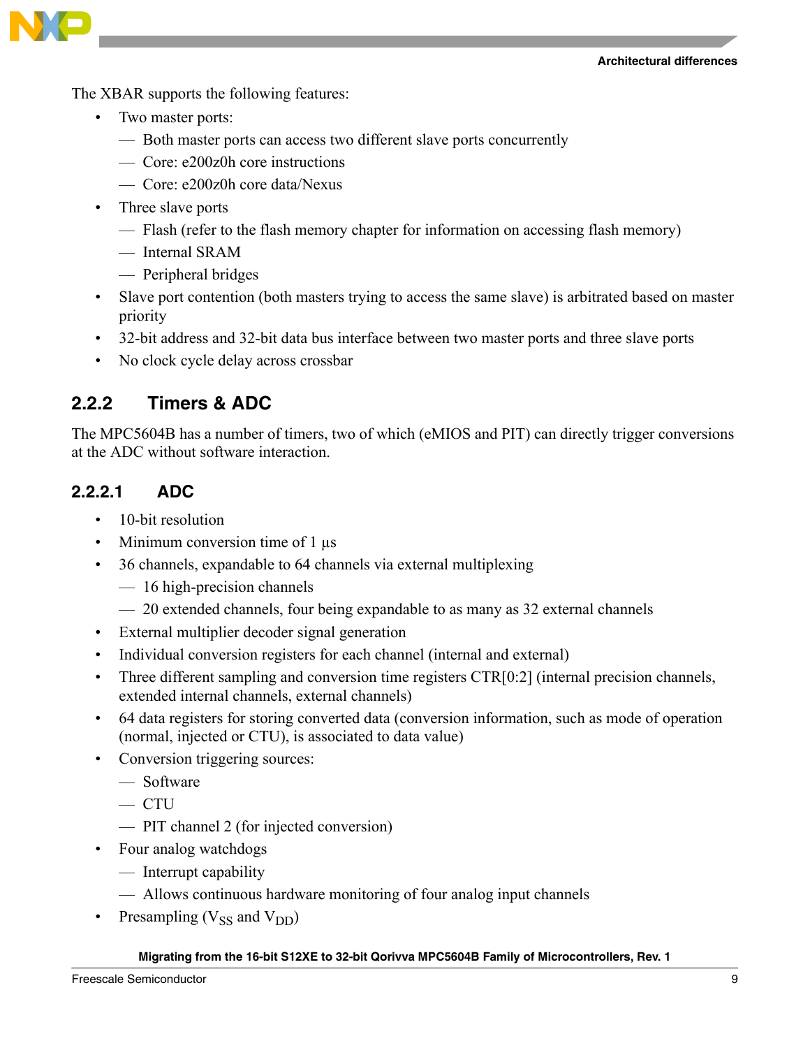#### **Architectural differences**



The XBAR supports the following features:

- Two master ports:
	- Both master ports can access two different slave ports concurrently
	- Core: e200z0h core instructions
	- Core: e200z0h core data/Nexus
- Three slave ports
	- Flash (refer to the flash memory chapter for information on accessing flash memory)
	- Internal SRAM
	- Peripheral bridges
- Slave port contention (both masters trying to access the same slave) is arbitrated based on master priority
- 32-bit address and 32-bit data bus interface between two master ports and three slave ports
- No clock cycle delay across crossbar

## **2.2.2 Timers & ADC**

The MPC5604B has a number of timers, two of which (eMIOS and PIT) can directly trigger conversions at the ADC without software interaction.

## **2.2.2.1 ADC**

- 10-bit resolution
- Minimum conversion time of 1  $\mu$ s
- 36 channels, expandable to 64 channels via external multiplexing
	- 16 high-precision channels
	- 20 extended channels, four being expandable to as many as 32 external channels
- External multiplier decoder signal generation
- Individual conversion registers for each channel (internal and external)
- Three different sampling and conversion time registers CTR[0:2] (internal precision channels, extended internal channels, external channels)
- 64 data registers for storing converted data (conversion information, such as mode of operation (normal, injected or CTU), is associated to data value)
- Conversion triggering sources:
	- Software
	- $-$  CTU
	- PIT channel 2 (for injected conversion)
- Four analog watchdogs
	- Interrupt capability
	- Allows continuous hardware monitoring of four analog input channels
- Presampling  $(V_{SS}$  and  $V_{DD}$ )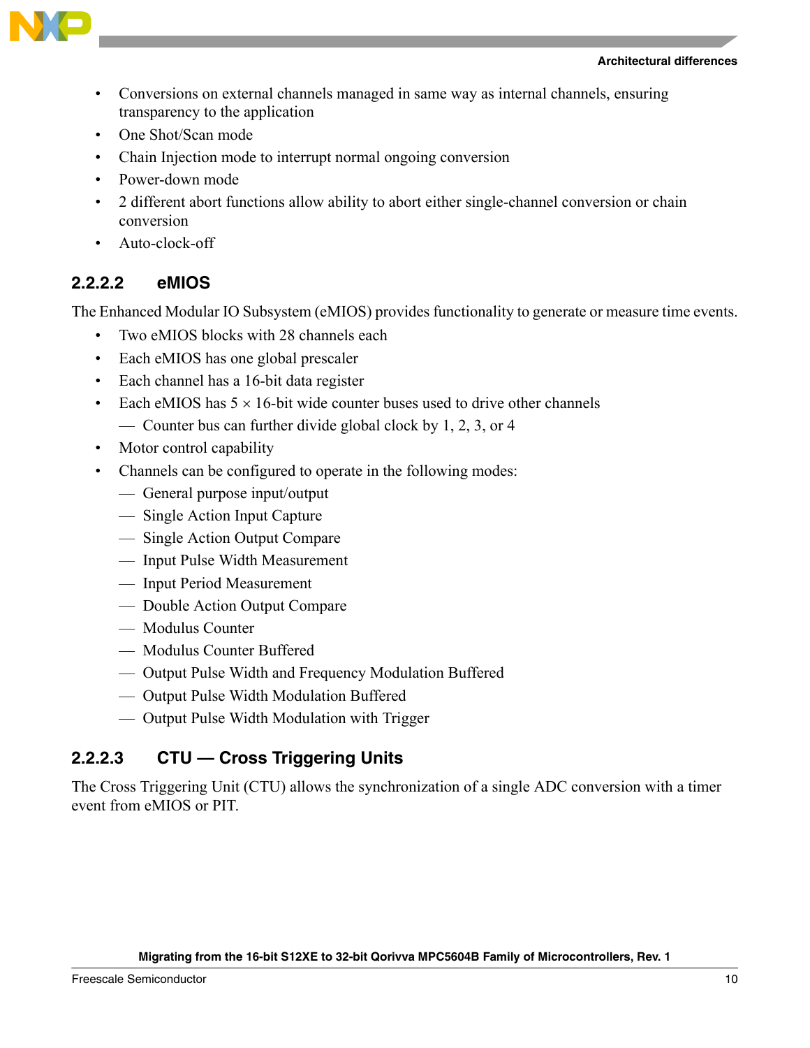

- Conversions on external channels managed in same way as internal channels, ensuring transparency to the application
- One Shot/Scan mode
- Chain Injection mode to interrupt normal ongoing conversion
- Power-down mode
- 2 different abort functions allow ability to abort either single-channel conversion or chain conversion
- Auto-clock-off

## **2.2.2.2 eMIOS**

The Enhanced Modular IO Subsystem (eMIOS) provides functionality to generate or measure time events.

- Two eMIOS blocks with 28 channels each
- Each eMIOS has one global prescaler
- Each channel has a 16-bit data register
- Each eMIOS has  $5 \times 16$ -bit wide counter buses used to drive other channels
	- Counter bus can further divide global clock by 1, 2, 3, or 4
- Motor control capability
- Channels can be configured to operate in the following modes:
	- General purpose input/output
	- Single Action Input Capture
	- Single Action Output Compare
	- Input Pulse Width Measurement
	- Input Period Measurement
	- Double Action Output Compare
	- Modulus Counter
	- Modulus Counter Buffered
	- Output Pulse Width and Frequency Modulation Buffered
	- Output Pulse Width Modulation Buffered
	- Output Pulse Width Modulation with Trigger

## **2.2.2.3 CTU — Cross Triggering Units**

The Cross Triggering Unit (CTU) allows the synchronization of a single ADC conversion with a timer event from eMIOS or PIT.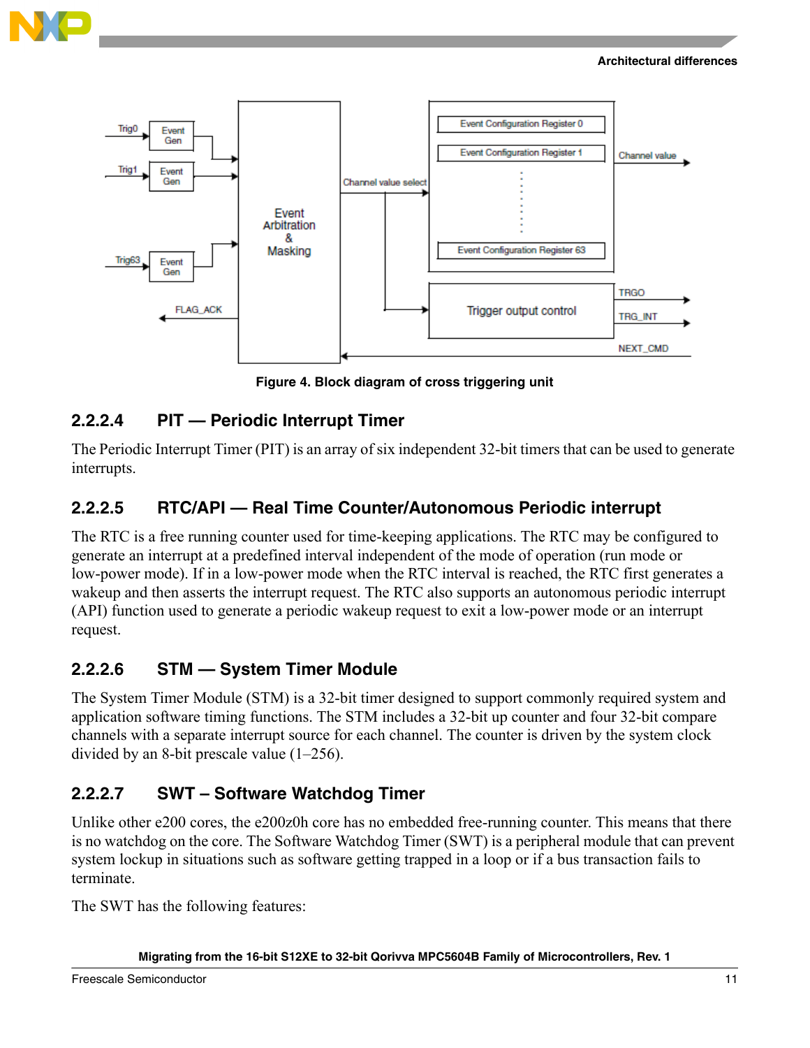





**Figure 4. Block diagram of cross triggering unit**

## **2.2.2.4 PIT — Periodic Interrupt Timer**

The Periodic Interrupt Timer (PIT) is an array of six independent 32-bit timers that can be used to generate interrupts.

## **2.2.2.5 RTC/API — Real Time Counter/Autonomous Periodic interrupt**

The RTC is a free running counter used for time-keeping applications. The RTC may be configured to generate an interrupt at a predefined interval independent of the mode of operation (run mode or low-power mode). If in a low-power mode when the RTC interval is reached, the RTC first generates a wakeup and then asserts the interrupt request. The RTC also supports an autonomous periodic interrupt (API) function used to generate a periodic wakeup request to exit a low-power mode or an interrupt request.

## **2.2.2.6 STM — System Timer Module**

The System Timer Module (STM) is a 32-bit timer designed to support commonly required system and application software timing functions. The STM includes a 32-bit up counter and four 32-bit compare channels with a separate interrupt source for each channel. The counter is driven by the system clock divided by an 8-bit prescale value (1–256).

## **2.2.2.7 SWT – Software Watchdog Timer**

Unlike other e200 cores, the e200z0h core has no embedded free-running counter. This means that there is no watchdog on the core. The Software Watchdog Timer (SWT) is a peripheral module that can prevent system lockup in situations such as software getting trapped in a loop or if a bus transaction fails to terminate.

The SWT has the following features: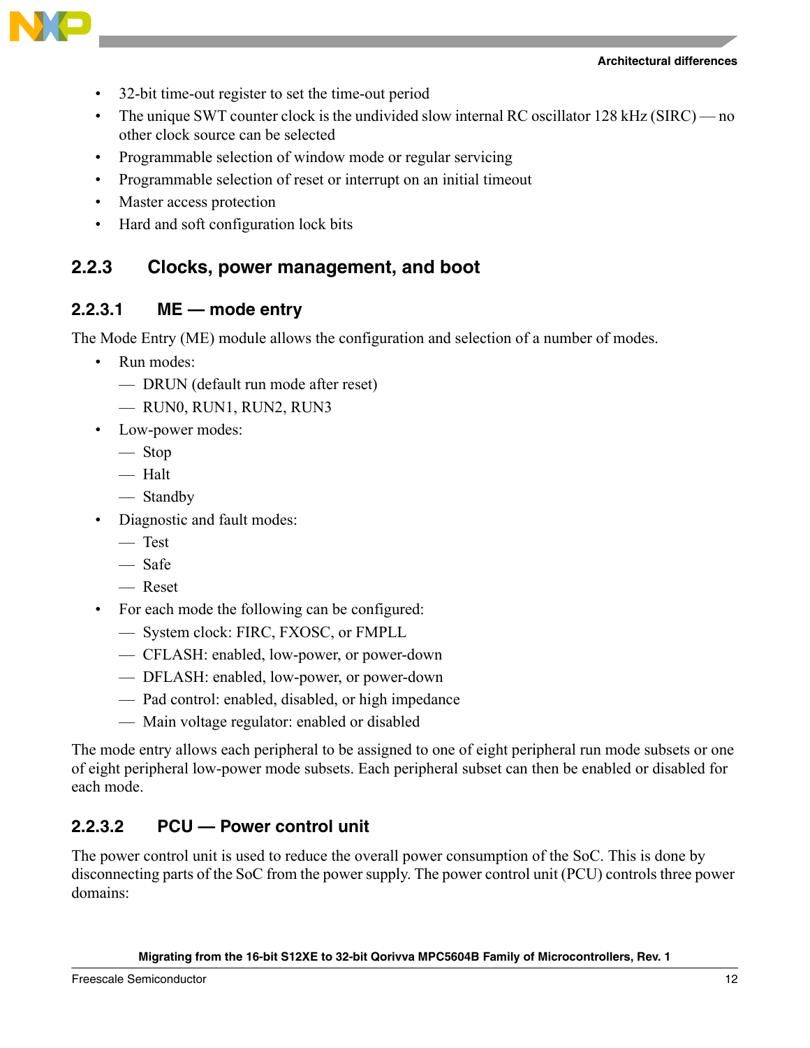



- 32-bit time-out register to set the time-out period
- The unique SWT counter clock is the undivided slow internal RC oscillator 128 kHz (SIRC) no other clock source can be selected
- Programmable selection of window mode or regular servicing
- Programmable selection of reset or interrupt on an initial timeout
- Master access protection
- Hard and soft configuration lock bits

## **2.2.3 Clocks, power management, and boot**

## **2.2.3.1 ME — mode entry**

The Mode Entry (ME) module allows the configuration and selection of a number of modes.

- Run modes:
	- DRUN (default run mode after reset)
	- RUN0, RUN1, RUN2, RUN3
- Low-power modes:
	- Stop
	- Halt
	- Standby
- Diagnostic and fault modes:
	- Test
	- Safe
	- Reset
- For each mode the following can be configured:
	- System clock: FIRC, FXOSC, or FMPLL
	- CFLASH: enabled, low-power, or power-down
	- DFLASH: enabled, low-power, or power-down
	- Pad control: enabled, disabled, or high impedance
	- Main voltage regulator: enabled or disabled

The mode entry allows each peripheral to be assigned to one of eight peripheral run mode subsets or one of eight peripheral low-power mode subsets. Each peripheral subset can then be enabled or disabled for each mode.

## **2.2.3.2 PCU — Power control unit**

The power control unit is used to reduce the overall power consumption of the SoC. This is done by disconnecting parts of the SoC from the power supply. The power control unit (PCU) controls three power domains: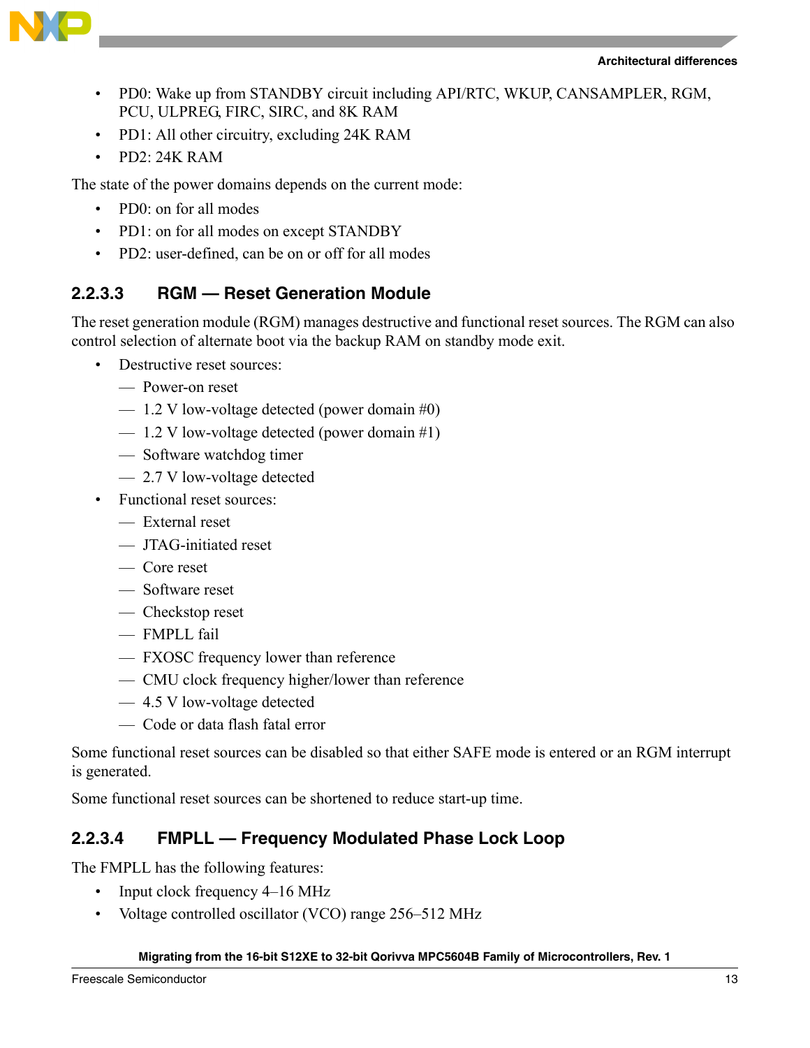



- PD0: Wake up from STANDBY circuit including API/RTC, WKUP, CANSAMPLER, RGM, PCU, ULPREG, FIRC, SIRC, and 8K RAM
- PD1: All other circuitry, excluding 24K RAM
- PD2: 24K RAM

The state of the power domains depends on the current mode:

- PD0: on for all modes
- PD1: on for all modes on except STANDBY
- PD2: user-defined, can be on or off for all modes

## **2.2.3.3 RGM — Reset Generation Module**

The reset generation module (RGM) manages destructive and functional reset sources. The RGM can also control selection of alternate boot via the backup RAM on standby mode exit.

- Destructive reset sources:
	- Power-on reset
	- $-1.2$  V low-voltage detected (power domain #0)
	- $-1.2$  V low-voltage detected (power domain #1)
	- Software watchdog timer
	- 2.7 V low-voltage detected
- Functional reset sources:
	- External reset
	- JTAG-initiated reset
	- Core reset
	- Software reset
	- Checkstop reset
	- FMPLL fail
	- FXOSC frequency lower than reference
	- CMU clock frequency higher/lower than reference
	- 4.5 V low-voltage detected
	- Code or data flash fatal error

Some functional reset sources can be disabled so that either SAFE mode is entered or an RGM interrupt is generated.

Some functional reset sources can be shortened to reduce start-up time.

## **2.2.3.4 FMPLL — Frequency Modulated Phase Lock Loop**

The FMPLL has the following features:

- Input clock frequency 4–16 MHz
- Voltage controlled oscillator (VCO) range 256–512 MHz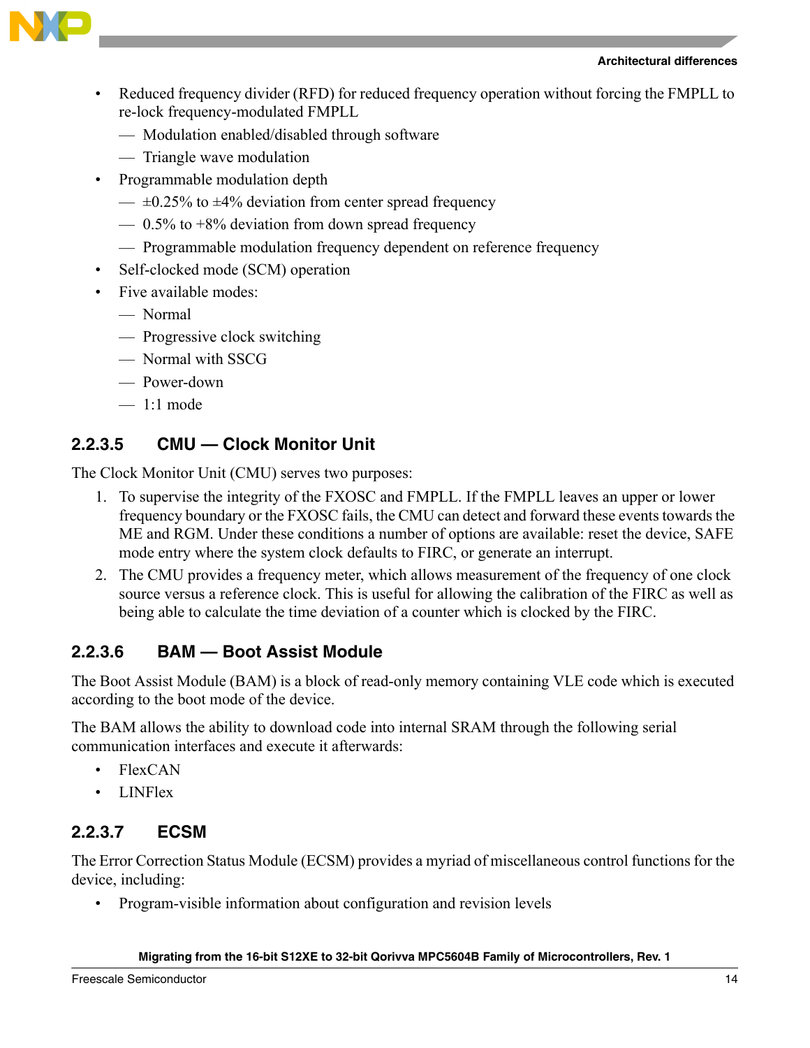



- Reduced frequency divider (RFD) for reduced frequency operation without forcing the FMPLL to re-lock frequency-modulated FMPLL
	- Modulation enabled/disabled through software
	- Triangle wave modulation
- Programmable modulation depth
	- $\equiv$  ±0.25% to ±4% deviation from center spread frequency
	- $-$  0.5% to  $+8\%$  deviation from down spread frequency
	- Programmable modulation frequency dependent on reference frequency
- Self-clocked mode (SCM) operation
- Five available modes:
	- Normal
	- Progressive clock switching
	- Normal with SSCG
	- Power-down
	- 1:1 mode

## **2.2.3.5 CMU — Clock Monitor Unit**

The Clock Monitor Unit (CMU) serves two purposes:

- 1. To supervise the integrity of the FXOSC and FMPLL. If the FMPLL leaves an upper or lower frequency boundary or the FXOSC fails, the CMU can detect and forward these events towards the ME and RGM. Under these conditions a number of options are available: reset the device, SAFE mode entry where the system clock defaults to FIRC, or generate an interrupt.
- 2. The CMU provides a frequency meter, which allows measurement of the frequency of one clock source versus a reference clock. This is useful for allowing the calibration of the FIRC as well as being able to calculate the time deviation of a counter which is clocked by the FIRC.

## **2.2.3.6 BAM — Boot Assist Module**

The Boot Assist Module (BAM) is a block of read-only memory containing VLE code which is executed according to the boot mode of the device.

The BAM allows the ability to download code into internal SRAM through the following serial communication interfaces and execute it afterwards:

- FlexCAN
- LINFlex

## **2.2.3.7 ECSM**

The Error Correction Status Module (ECSM) provides a myriad of miscellaneous control functions for the device, including:

• Program-visible information about configuration and revision levels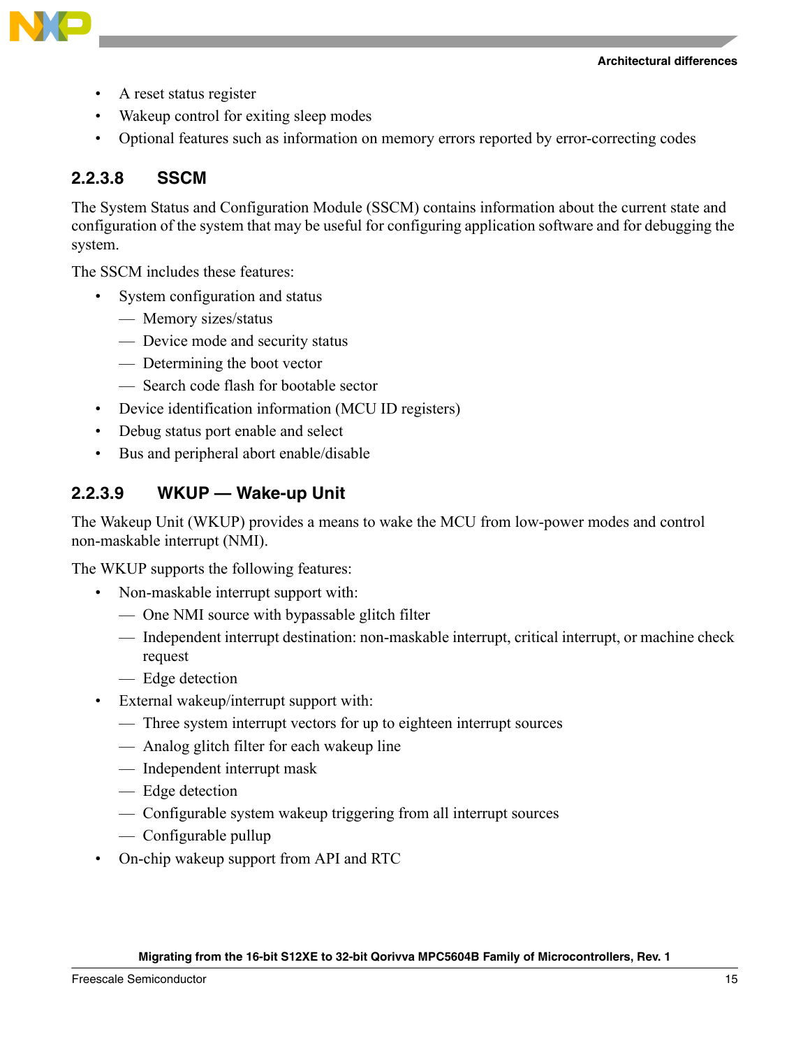**Architectural differences**



- A reset status register
- Wakeup control for exiting sleep modes
- Optional features such as information on memory errors reported by error-correcting codes

## **2.2.3.8 SSCM**

The System Status and Configuration Module (SSCM) contains information about the current state and configuration of the system that may be useful for configuring application software and for debugging the system.

The SSCM includes these features:

- System configuration and status
	- Memory sizes/status
	- Device mode and security status
	- Determining the boot vector
	- Search code flash for bootable sector
- Device identification information (MCU ID registers)
- Debug status port enable and select
- Bus and peripheral abort enable/disable

## **2.2.3.9 WKUP — Wake-up Unit**

The Wakeup Unit (WKUP) provides a means to wake the MCU from low-power modes and control non-maskable interrupt (NMI).

The WKUP supports the following features:

- Non-maskable interrupt support with:
	- One NMI source with bypassable glitch filter
	- Independent interrupt destination: non-maskable interrupt, critical interrupt, or machine check request
	- Edge detection
- External wakeup/interrupt support with:
	- Three system interrupt vectors for up to eighteen interrupt sources
	- Analog glitch filter for each wakeup line
	- Independent interrupt mask
	- Edge detection
	- Configurable system wakeup triggering from all interrupt sources
	- Configurable pullup
- On-chip wakeup support from API and RTC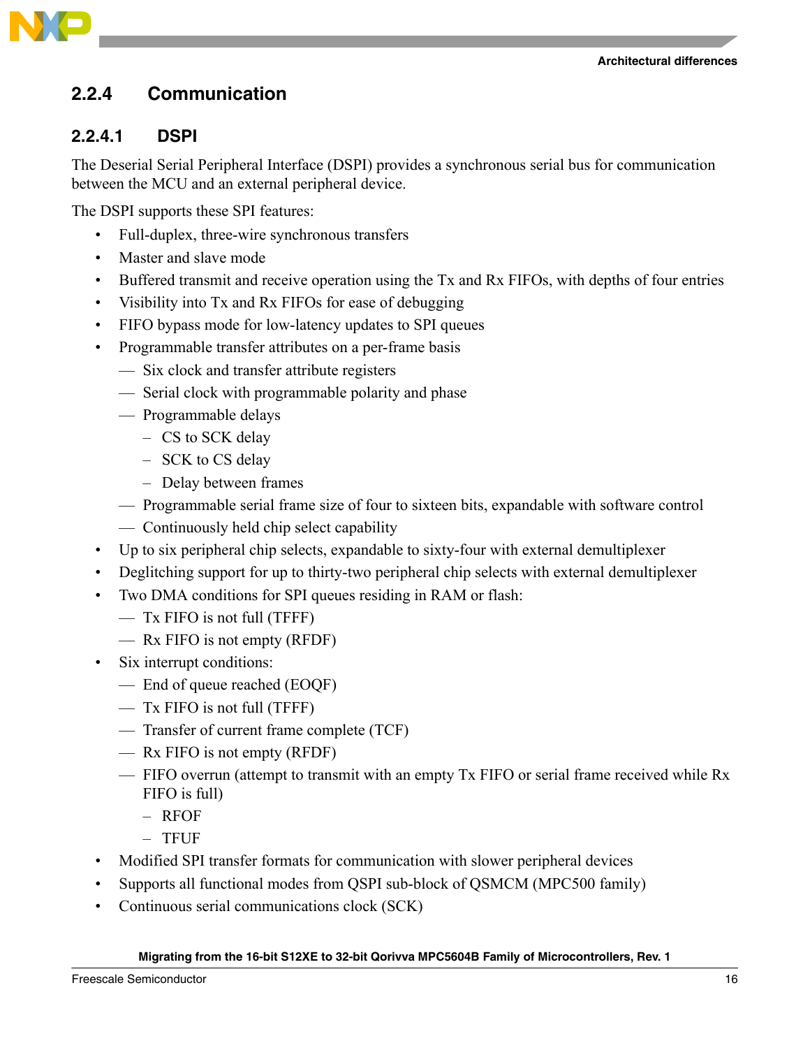**Architectural differences**



## **2.2.4 Communication**

## **2.2.4.1 DSPI**

The Deserial Serial Peripheral Interface (DSPI) provides a synchronous serial bus for communication between the MCU and an external peripheral device.

The DSPI supports these SPI features:

- Full-duplex, three-wire synchronous transfers
- Master and slave mode
- Buffered transmit and receive operation using the Tx and Rx FIFOs, with depths of four entries
- Visibility into Tx and Rx FIFOs for ease of debugging
- FIFO bypass mode for low-latency updates to SPI queues
- Programmable transfer attributes on a per-frame basis
	- Six clock and transfer attribute registers
	- Serial clock with programmable polarity and phase
	- Programmable delays
		- CS to SCK delay
		- SCK to CS delay
		- Delay between frames
	- Programmable serial frame size of four to sixteen bits, expandable with software control
	- Continuously held chip select capability
- Up to six peripheral chip selects, expandable to sixty-four with external demultiplexer
- Deglitching support for up to thirty-two peripheral chip selects with external demultiplexer
- Two DMA conditions for SPI queues residing in RAM or flash:
	- Tx FIFO is not full (TFFF)
	- Rx FIFO is not empty (RFDF)
- Six interrupt conditions:
	- End of queue reached (EOQF)
	- Tx FIFO is not full (TFFF)
	- Transfer of current frame complete (TCF)
	- Rx FIFO is not empty (RFDF)
	- FIFO overrun (attempt to transmit with an empty Tx FIFO or serial frame received while Rx FIFO is full)
		- RFOF
		- TFUF
- Modified SPI transfer formats for communication with slower peripheral devices
- Supports all functional modes from QSPI sub-block of QSMCM (MPC500 family)
- Continuous serial communications clock (SCK)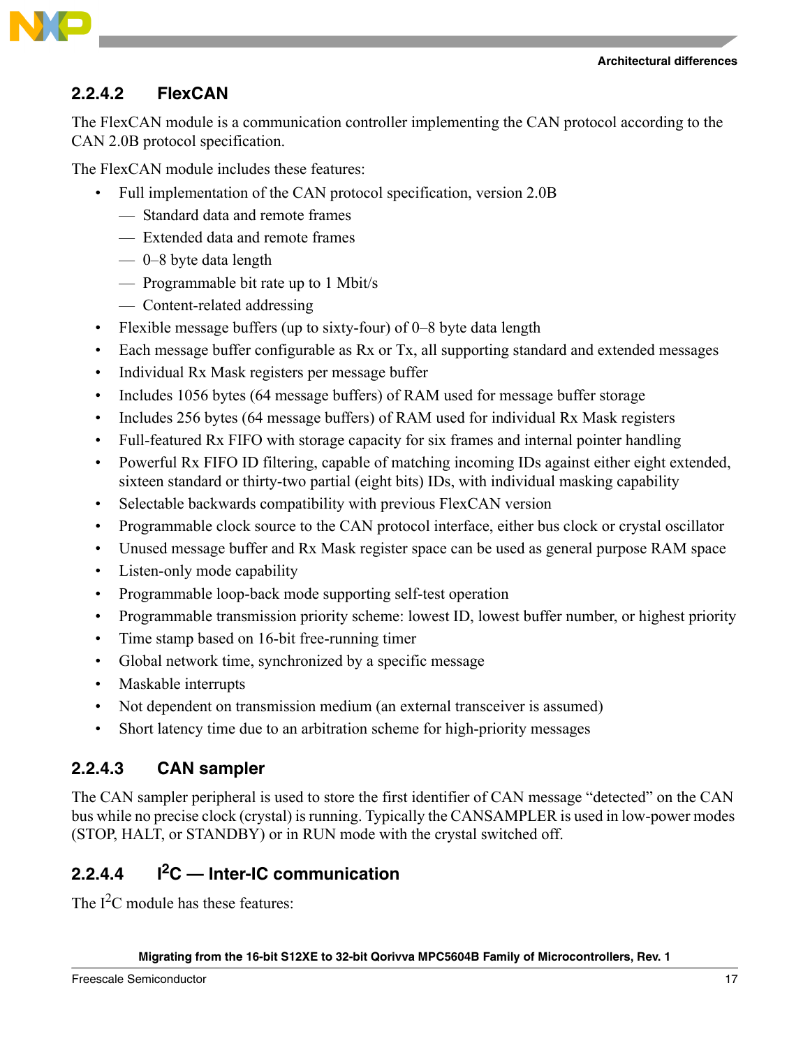

## **2.2.4.2 FlexCAN**

The FlexCAN module is a communication controller implementing the CAN protocol according to the CAN 2.0B protocol specification.

The FlexCAN module includes these features:

- Full implementation of the CAN protocol specification, version 2.0B
	- Standard data and remote frames
	- Extended data and remote frames
	- 0–8 byte data length
	- Programmable bit rate up to 1 Mbit/s
	- Content-related addressing
- Flexible message buffers (up to sixty-four) of 0–8 byte data length
- Each message buffer configurable as Rx or Tx, all supporting standard and extended messages
- Individual Rx Mask registers per message buffer
- Includes 1056 bytes (64 message buffers) of RAM used for message buffer storage
- Includes 256 bytes (64 message buffers) of RAM used for individual Rx Mask registers
- Full-featured Rx FIFO with storage capacity for six frames and internal pointer handling
- Powerful Rx FIFO ID filtering, capable of matching incoming IDs against either eight extended, sixteen standard or thirty-two partial (eight bits) IDs, with individual masking capability
- Selectable backwards compatibility with previous FlexCAN version
- Programmable clock source to the CAN protocol interface, either bus clock or crystal oscillator
- Unused message buffer and Rx Mask register space can be used as general purpose RAM space
- Listen-only mode capability
- Programmable loop-back mode supporting self-test operation
- Programmable transmission priority scheme: lowest ID, lowest buffer number, or highest priority
- Time stamp based on 16-bit free-running timer
- Global network time, synchronized by a specific message
- Maskable interrupts
- Not dependent on transmission medium (an external transceiver is assumed)
- Short latency time due to an arbitration scheme for high-priority messages

## **2.2.4.3 CAN sampler**

The CAN sampler peripheral is used to store the first identifier of CAN message "detected" on the CAN bus while no precise clock (crystal) is running. Typically the CANSAMPLER is used in low-power modes (STOP, HALT, or STANDBY) or in RUN mode with the crystal switched off.

# **2.2.4.4 I2C — Inter-IC communication**

The  $I<sup>2</sup>C$  module has these features: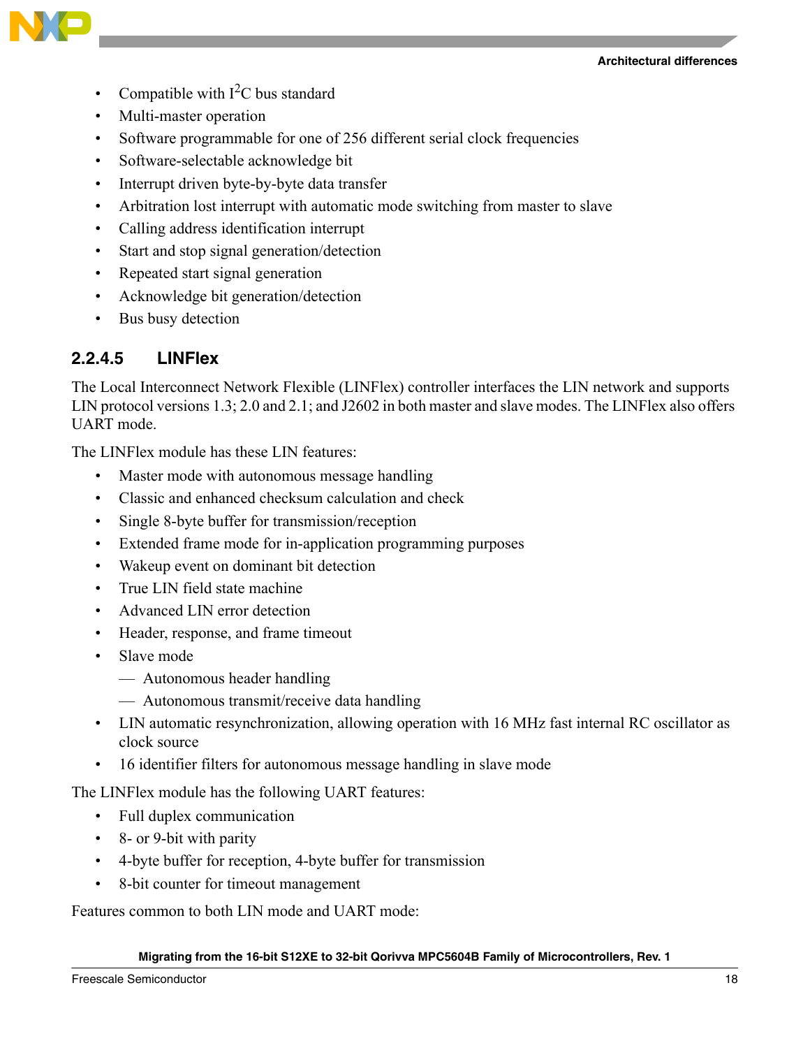



- Compatible with  $I<sup>2</sup>C$  bus standard
- Multi-master operation
- Software programmable for one of 256 different serial clock frequencies
- Software-selectable acknowledge bit
- Interrupt driven byte-by-byte data transfer
- Arbitration lost interrupt with automatic mode switching from master to slave
- Calling address identification interrupt
- Start and stop signal generation/detection
- Repeated start signal generation
- Acknowledge bit generation/detection
- Bus busy detection

### **2.2.4.5 LINFlex**

The Local Interconnect Network Flexible (LINFlex) controller interfaces the LIN network and supports LIN protocol versions 1.3; 2.0 and 2.1; and J2602 in both master and slave modes. The LINFlex also offers UART mode.

The LINFlex module has these LIN features:

- Master mode with autonomous message handling
- Classic and enhanced checksum calculation and check
- Single 8-byte buffer for transmission/reception
- Extended frame mode for in-application programming purposes
- Wakeup event on dominant bit detection
- True LIN field state machine
- Advanced LIN error detection
- Header, response, and frame timeout
- Slave mode
	- Autonomous header handling
	- Autonomous transmit/receive data handling
- LIN automatic resynchronization, allowing operation with 16 MHz fast internal RC oscillator as clock source
- 16 identifier filters for autonomous message handling in slave mode

The LINFlex module has the following UART features:

- Full duplex communication
- 8- or 9-bit with parity
- 4-byte buffer for reception, 4-byte buffer for transmission
- 8-bit counter for timeout management

Features common to both LIN mode and UART mode: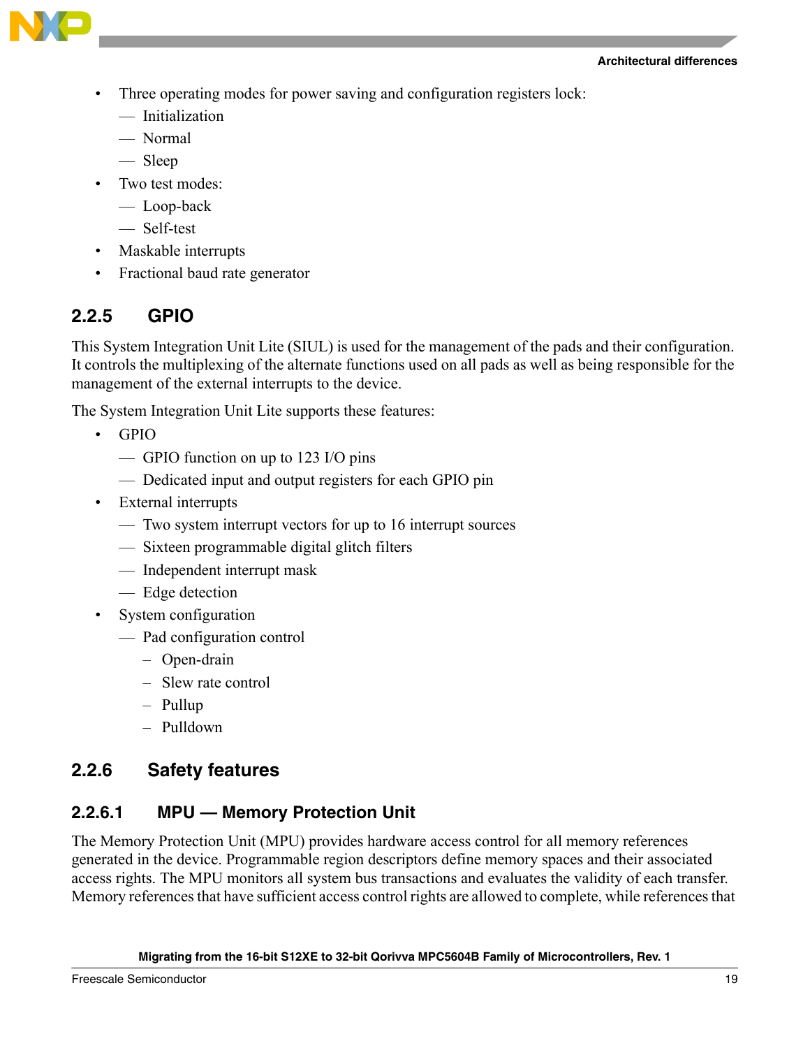

- Three operating modes for power saving and configuration registers lock:
	- Initialization
	- Normal
	- Sleep
- Two test modes:
	- Loop-back
	- Self-test
- Maskable interrupts
- Fractional baud rate generator

## **2.2.5 GPIO**

This System Integration Unit Lite (SIUL) is used for the management of the pads and their configuration. It controls the multiplexing of the alternate functions used on all pads as well as being responsible for the management of the external interrupts to the device.

The System Integration Unit Lite supports these features:

- GPIO
	- GPIO function on up to 123 I/O pins
	- Dedicated input and output registers for each GPIO pin
- External interrupts
	- Two system interrupt vectors for up to 16 interrupt sources
	- Sixteen programmable digital glitch filters
	- Independent interrupt mask
	- Edge detection
- System configuration
	- Pad configuration control
		- Open-drain
		- Slew rate control
		- Pullup
		- Pulldown

## **2.2.6 Safety features**

## **2.2.6.1 MPU — Memory Protection Unit**

The Memory Protection Unit (MPU) provides hardware access control for all memory references generated in the device. Programmable region descriptors define memory spaces and their associated access rights. The MPU monitors all system bus transactions and evaluates the validity of each transfer. Memory references that have sufficient access control rights are allowed to complete, while references that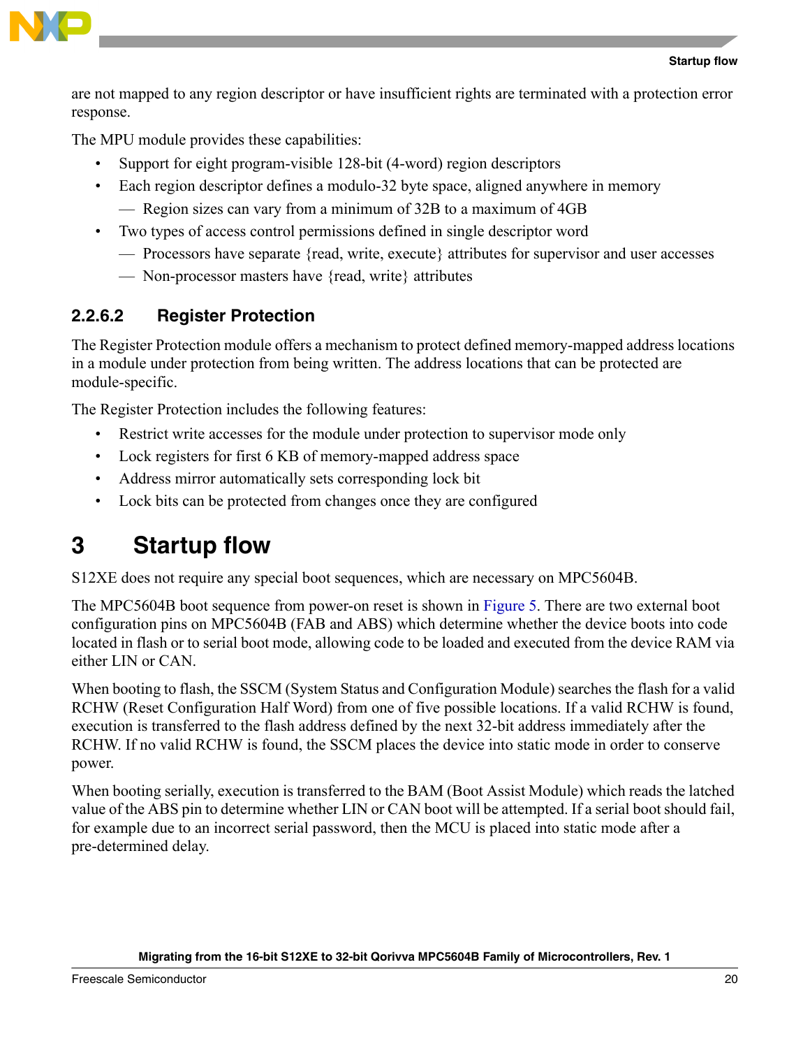

are not mapped to any region descriptor or have insufficient rights are terminated with a protection error response.

The MPU module provides these capabilities:

- Support for eight program-visible 128-bit (4-word) region descriptors
- Each region descriptor defines a modulo-32 byte space, aligned anywhere in memory — Region sizes can vary from a minimum of 32B to a maximum of 4GB
- Two types of access control permissions defined in single descriptor word
	- Processors have separate {read, write, execute} attributes for supervisor and user accesses
	- Non-processor masters have {read, write} attributes

# **2.2.6.2 Register Protection**

The Register Protection module offers a mechanism to protect defined memory-mapped address locations in a module under protection from being written. The address locations that can be protected are module-specific.

The Register Protection includes the following features:

- Restrict write accesses for the module under protection to supervisor mode only
- Lock registers for first 6 KB of memory-mapped address space
- Address mirror automatically sets corresponding lock bit
- Lock bits can be protected from changes once they are configured

# <span id="page-19-0"></span>**3 Startup flow**

S12XE does not require any special boot sequences, which are necessary on MPC5604B.

The MPC5604B boot sequence from power-on reset is shown in [Figure 5.](#page-20-1) There are two external boot configuration pins on MPC5604B (FAB and ABS) which determine whether the device boots into code located in flash or to serial boot mode, allowing code to be loaded and executed from the device RAM via either LIN or CAN.

When booting to flash, the SSCM (System Status and Configuration Module) searches the flash for a valid RCHW (Reset Configuration Half Word) from one of five possible locations. If a valid RCHW is found, execution is transferred to the flash address defined by the next 32-bit address immediately after the RCHW. If no valid RCHW is found, the SSCM places the device into static mode in order to conserve power.

When booting serially, execution is transferred to the BAM (Boot Assist Module) which reads the latched value of the ABS pin to determine whether LIN or CAN boot will be attempted. If a serial boot should fail, for example due to an incorrect serial password, then the MCU is placed into static mode after a pre-determined delay.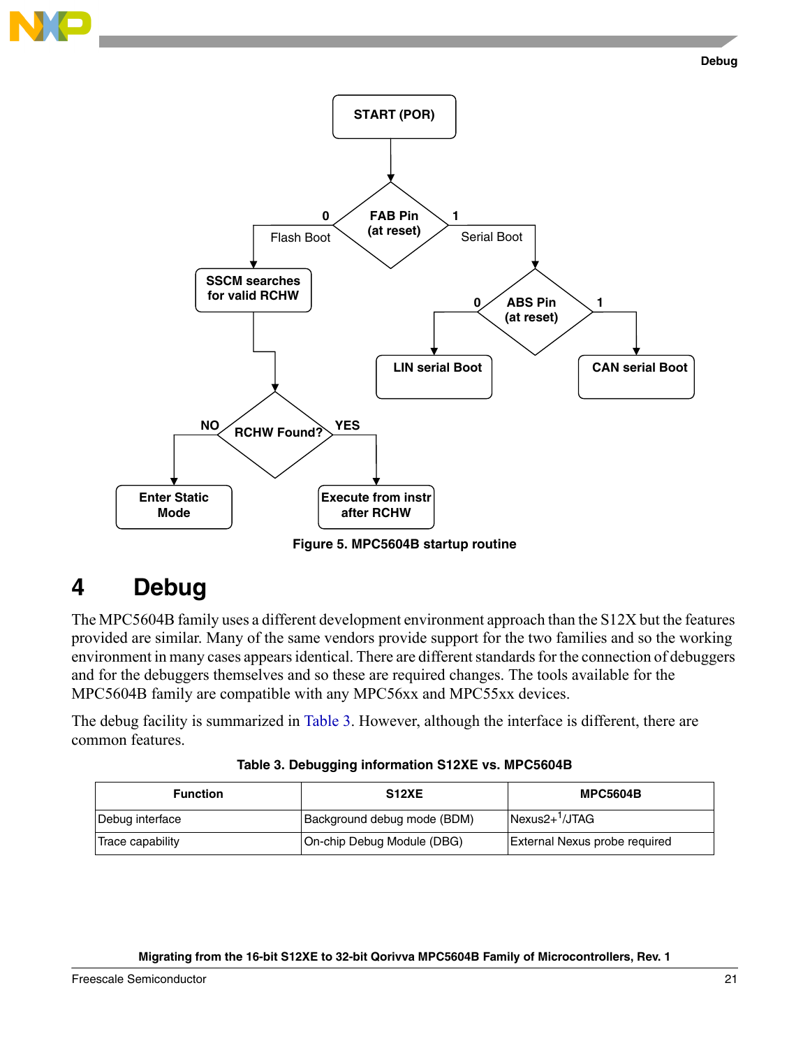

**START (POR)** 

**0**





**Figure 5. MPC5604B startup routine**

# <span id="page-20-1"></span><span id="page-20-0"></span>**4 Debug**

The MPC5604B family uses a different development environment approach than the S12X but the features provided are similar. Many of the same vendors provide support for the two families and so the working environment in many cases appears identical. There are different standards for the connection of debuggers and for the debuggers themselves and so these are required changes. The tools available for the MPC5604B family are compatible with any MPC56xx and MPC55xx devices.

The debug facility is summarized in [Table 3](#page-20-2). However, although the interface is different, there are common features.

**Table 3. Debugging information S12XE vs. MPC5604B**

<span id="page-20-2"></span>

| <b>Function</b>  | S <sub>12</sub> XE          | <b>MPC5604B</b>                      |
|------------------|-----------------------------|--------------------------------------|
| Debug interface  | Background debug mode (BDM) | $Nexus2+'/JTAG$                      |
| Trace capability | On-chip Debug Module (DBG)  | <b>External Nexus probe required</b> |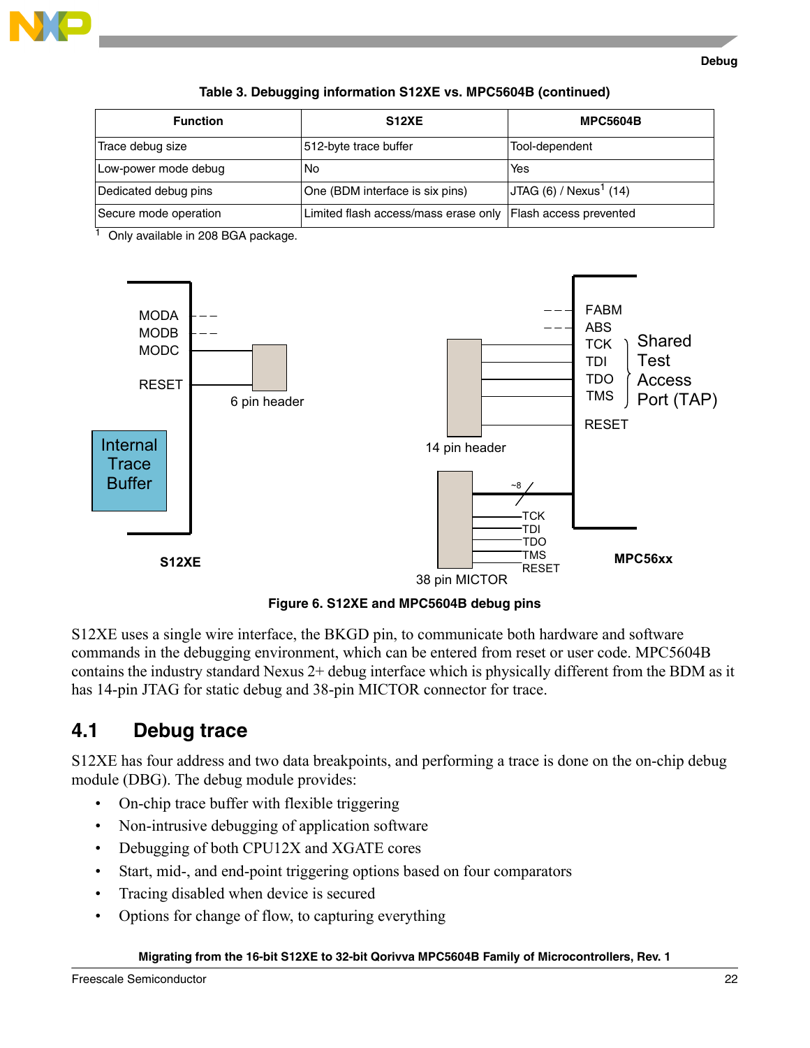

#### **Table 3. Debugging information S12XE vs. MPC5604B (continued)**

| <b>Function</b>       | <b>S12XE</b>                                                  | <b>MPC5604B</b>                   |
|-----------------------|---------------------------------------------------------------|-----------------------------------|
| Trace debug size      | 512-byte trace buffer                                         | Tool-dependent                    |
| Low-power mode debug  | No                                                            | Yes                               |
| Dedicated debug pins  | One (BDM interface is six pins)                               | JTAG (6) / Next <sup>1</sup> (14) |
| Secure mode operation | Limited flash access/mass erase only   Flash access prevented |                                   |

<span id="page-21-1"></span> $\overline{1}$  Only available in 208 BGA package.



**Figure 6. S12XE and MPC5604B debug pins**

S12XE uses a single wire interface, the BKGD pin, to communicate both hardware and software commands in the debugging environment, which can be entered from reset or user code. MPC5604B contains the industry standard Nexus 2+ debug interface which is physically different from the BDM as it has 14-pin JTAG for static debug and 38-pin MICTOR connector for trace.

## <span id="page-21-0"></span>**4.1 Debug trace**

S12XE has four address and two data breakpoints, and performing a trace is done on the on-chip debug module (DBG). The debug module provides:

- On-chip trace buffer with flexible triggering
- Non-intrusive debugging of application software
- Debugging of both CPU12X and XGATE cores
- Start, mid-, and end-point triggering options based on four comparators
- Tracing disabled when device is secured
- Options for change of flow, to capturing everything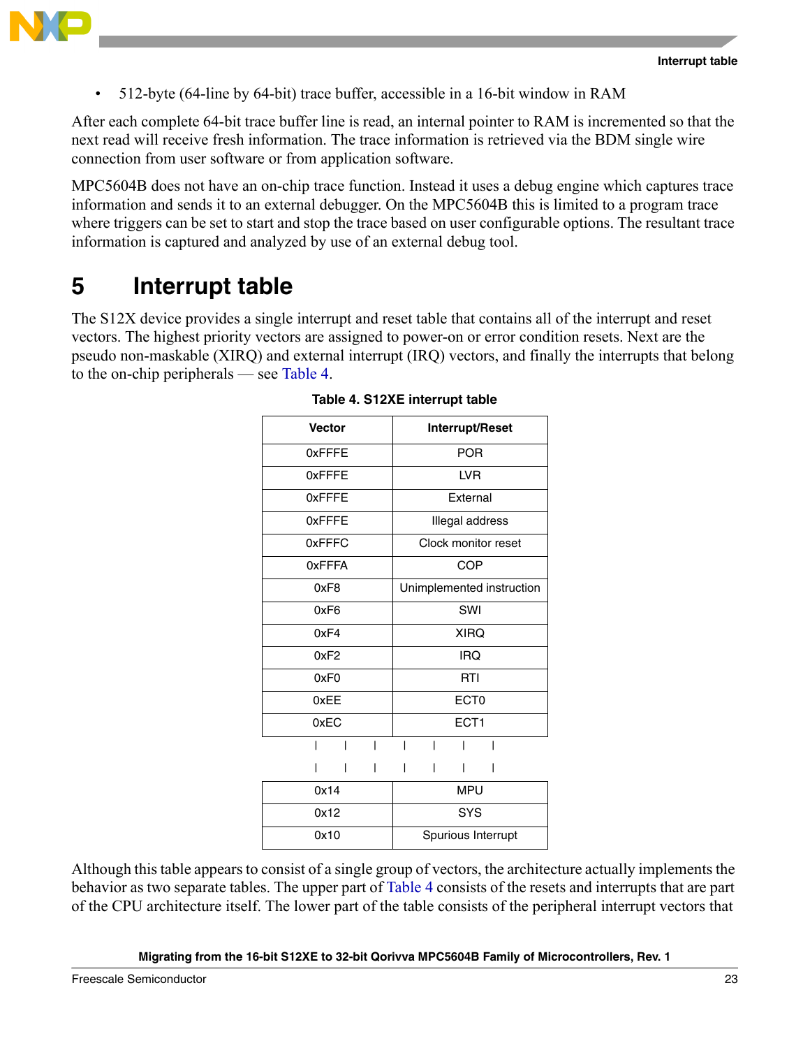

• 512-byte (64-line by 64-bit) trace buffer, accessible in a 16-bit window in RAM

After each complete 64-bit trace buffer line is read, an internal pointer to RAM is incremented so that the next read will receive fresh information. The trace information is retrieved via the BDM single wire connection from user software or from application software.

MPC5604B does not have an on-chip trace function. Instead it uses a debug engine which captures trace information and sends it to an external debugger. On the MPC5604B this is limited to a program trace where triggers can be set to start and stop the trace based on user configurable options. The resultant trace information is captured and analyzed by use of an external debug tool.

# <span id="page-22-0"></span>**5 Interrupt table**

<span id="page-22-1"></span>The S12X device provides a single interrupt and reset table that contains all of the interrupt and reset vectors. The highest priority vectors are assigned to power-on or error condition resets. Next are the pseudo non-maskable (XIRQ) and external interrupt (IRQ) vectors, and finally the interrupts that belong to the on-chip peripherals — see [Table 4.](#page-22-1)

| <b>Vector</b>    | Interrupt/Reset           |
|------------------|---------------------------|
| 0xFFFE           | <b>POR</b>                |
| 0xFFFE           | <b>LVR</b>                |
| 0xFFFE           | External                  |
| 0xFFFE           | Illegal address           |
| 0xFFFC           | Clock monitor reset       |
| 0xFFFA           | COP                       |
| 0xF8             | Unimplemented instruction |
| 0xF6             | SWI                       |
| 0xF4             | <b>XIRQ</b>               |
| 0xF2             | <b>IRQ</b>                |
| 0xF <sub>0</sub> | RTI                       |
| 0xEE             | ECT <sub>0</sub>          |
| 0xEC             | ECT1                      |
|                  |                           |
|                  |                           |
| 0x14             | <b>MPU</b>                |
| 0x12             | <b>SYS</b>                |
| 0x10             | Spurious Interrupt        |

|  | Table 4. S12XE interrupt table |  |
|--|--------------------------------|--|
|  |                                |  |

Although this table appears to consist of a single group of vectors, the architecture actually implements the behavior as two separate tables. The upper part of [Table 4](#page-22-1) consists of the resets and interrupts that are part of the CPU architecture itself. The lower part of the table consists of the peripheral interrupt vectors that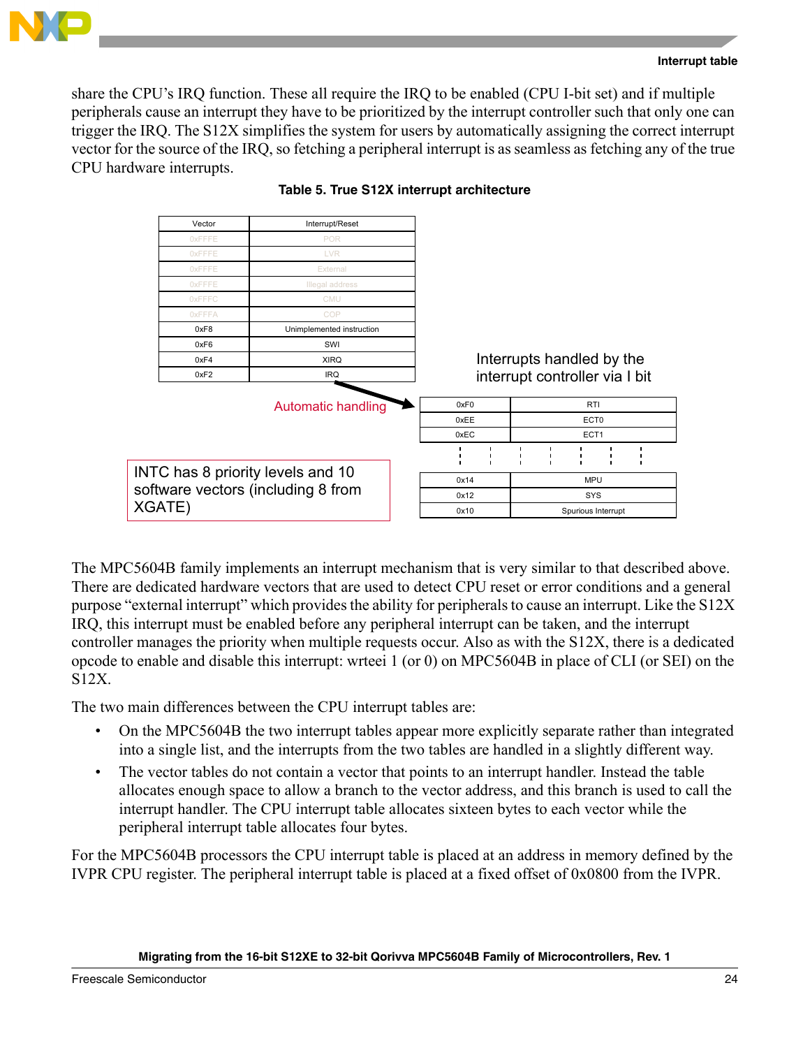



share the CPU's IRQ function. These all require the IRQ to be enabled (CPU I-bit set) and if multiple peripherals cause an interrupt they have to be prioritized by the interrupt controller such that only one can trigger the IRQ. The S12X simplifies the system for users by automatically assigning the correct interrupt vector for the source of the IRQ, so fetching a peripheral interrupt is as seamless as fetching any of the true CPU hardware interrupts.



### **Table 5. True S12X interrupt architecture**

The MPC5604B family implements an interrupt mechanism that is very similar to that described above. There are dedicated hardware vectors that are used to detect CPU reset or error conditions and a general purpose "external interrupt" which provides the ability for peripherals to cause an interrupt. Like the S12X IRQ, this interrupt must be enabled before any peripheral interrupt can be taken, and the interrupt controller manages the priority when multiple requests occur. Also as with the S12X, there is a dedicated opcode to enable and disable this interrupt: wrteei 1 (or 0) on MPC5604B in place of CLI (or SEI) on the S12X.

The two main differences between the CPU interrupt tables are:

- On the MPC5604B the two interrupt tables appear more explicitly separate rather than integrated into a single list, and the interrupts from the two tables are handled in a slightly different way.
- The vector tables do not contain a vector that points to an interrupt handler. Instead the table allocates enough space to allow a branch to the vector address, and this branch is used to call the interrupt handler. The CPU interrupt table allocates sixteen bytes to each vector while the peripheral interrupt table allocates four bytes.

For the MPC5604B processors the CPU interrupt table is placed at an address in memory defined by the IVPR CPU register. The peripheral interrupt table is placed at a fixed offset of 0x0800 from the IVPR.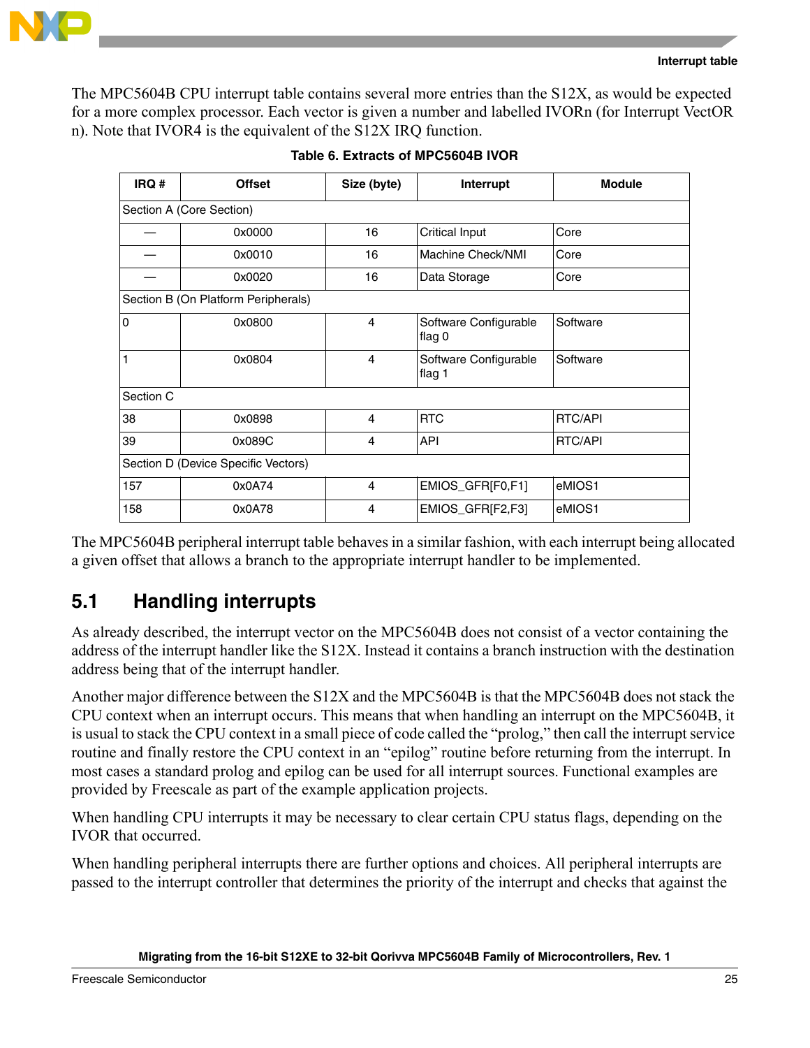



The MPC5604B CPU interrupt table contains several more entries than the S12X, as would be expected for a more complex processor. Each vector is given a number and labelled IVORn (for Interrupt VectOR n). Note that IVOR4 is the equivalent of the S12X IRQ function.

| IRQ #          | <b>Offset</b>                       | Size (byte)    | Interrupt                       | <b>Module</b>  |
|----------------|-------------------------------------|----------------|---------------------------------|----------------|
|                | Section A (Core Section)            |                |                                 |                |
|                | 0x0000                              | 16             | <b>Critical Input</b>           | Core           |
|                | 0x0010                              | 16             | Machine Check/NMI               | Core           |
|                | 0x0020                              | 16             | Data Storage                    | Core           |
|                | Section B (On Platform Peripherals) |                |                                 |                |
| $\overline{0}$ | 0x0800                              | 4              | Software Configurable<br>flag 0 | Software       |
| $\mathbf{1}$   | 0x0804                              | 4              | Software Configurable<br>flag 1 | Software       |
| Section C      |                                     |                |                                 |                |
| 38             | 0x0898                              | 4              | <b>RTC</b>                      | <b>RTC/API</b> |
| 39             | 0x089C                              | 4              | <b>API</b>                      | <b>RTC/API</b> |
|                | Section D (Device Specific Vectors) |                |                                 |                |
| 157            | 0x0A74                              | $\overline{4}$ | EMIOS_GFR[F0,F1]                | eMIOS1         |
| 158            | 0x0A78                              | 4              | EMIOS_GFR[F2,F3]                | eMIOS1         |

|  | Table 6. Extracts of MPC5604B IVOR |  |  |  |
|--|------------------------------------|--|--|--|
|--|------------------------------------|--|--|--|

The MPC5604B peripheral interrupt table behaves in a similar fashion, with each interrupt being allocated a given offset that allows a branch to the appropriate interrupt handler to be implemented.

## <span id="page-24-0"></span>**5.1 Handling interrupts**

As already described, the interrupt vector on the MPC5604B does not consist of a vector containing the address of the interrupt handler like the S12X. Instead it contains a branch instruction with the destination address being that of the interrupt handler.

Another major difference between the S12X and the MPC5604B is that the MPC5604B does not stack the CPU context when an interrupt occurs. This means that when handling an interrupt on the MPC5604B, it is usual to stack the CPU context in a small piece of code called the "prolog," then call the interrupt service routine and finally restore the CPU context in an "epilog" routine before returning from the interrupt. In most cases a standard prolog and epilog can be used for all interrupt sources. Functional examples are provided by Freescale as part of the example application projects.

When handling CPU interrupts it may be necessary to clear certain CPU status flags, depending on the IVOR that occurred.

When handling peripheral interrupts there are further options and choices. All peripheral interrupts are passed to the interrupt controller that determines the priority of the interrupt and checks that against the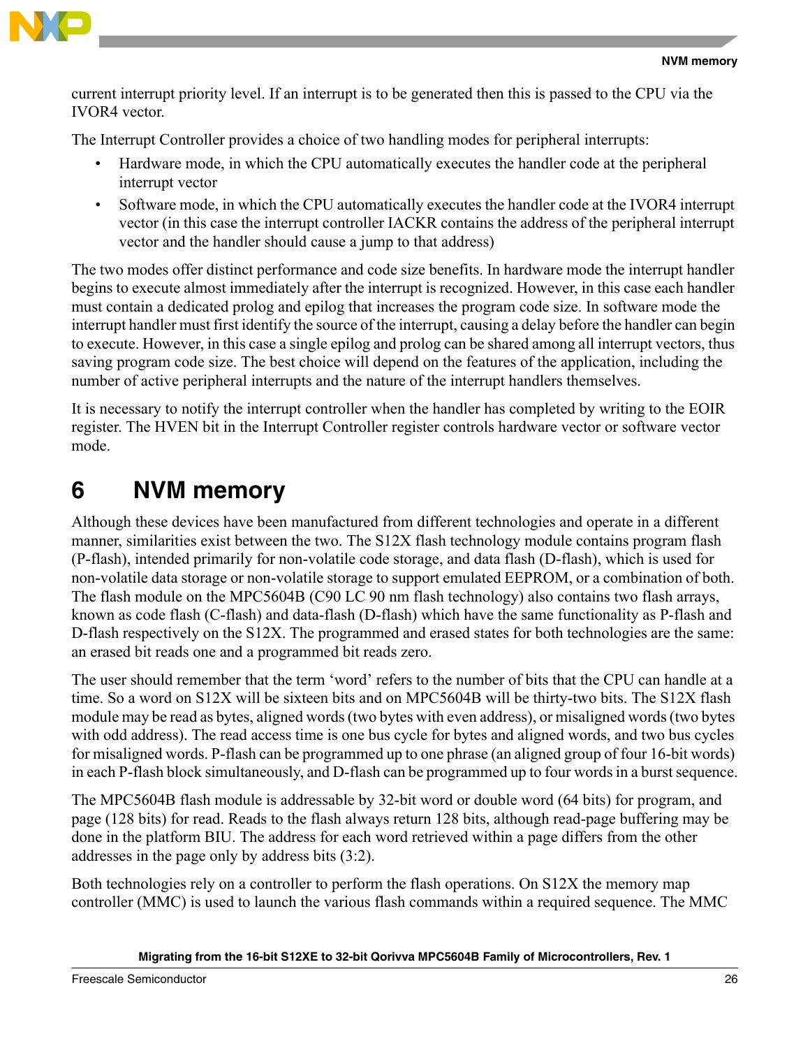

current interrupt priority level. If an interrupt is to be generated then this is passed to the CPU via the IVOR4 vector.

The Interrupt Controller provides a choice of two handling modes for peripheral interrupts:

- Hardware mode, in which the CPU automatically executes the handler code at the peripheral interrupt vector
- Software mode, in which the CPU automatically executes the handler code at the IVOR4 interrupt vector (in this case the interrupt controller IACKR contains the address of the peripheral interrupt vector and the handler should cause a jump to that address)

The two modes offer distinct performance and code size benefits. In hardware mode the interrupt handler begins to execute almost immediately after the interrupt is recognized. However, in this case each handler must contain a dedicated prolog and epilog that increases the program code size. In software mode the interrupt handler must first identify the source of the interrupt, causing a delay before the handler can begin to execute. However, in this case a single epilog and prolog can be shared among all interrupt vectors, thus saving program code size. The best choice will depend on the features of the application, including the number of active peripheral interrupts and the nature of the interrupt handlers themselves.

It is necessary to notify the interrupt controller when the handler has completed by writing to the EOIR register. The HVEN bit in the Interrupt Controller register controls hardware vector or software vector mode.

# <span id="page-25-0"></span>**6 NVM memory**

Although these devices have been manufactured from different technologies and operate in a different manner, similarities exist between the two. The S12X flash technology module contains program flash (P-flash), intended primarily for non-volatile code storage, and data flash (D-flash), which is used for non-volatile data storage or non-volatile storage to support emulated EEPROM, or a combination of both. The flash module on the MPC5604B (C90 LC 90 nm flash technology) also contains two flash arrays, known as code flash (C-flash) and data-flash (D-flash) which have the same functionality as P-flash and D-flash respectively on the S12X. The programmed and erased states for both technologies are the same: an erased bit reads one and a programmed bit reads zero.

The user should remember that the term 'word' refers to the number of bits that the CPU can handle at a time. So a word on S12X will be sixteen bits and on MPC5604B will be thirty-two bits. The S12X flash module may be read as bytes, aligned words (two bytes with even address), or misaligned words (two bytes with odd address). The read access time is one bus cycle for bytes and aligned words, and two bus cycles for misaligned words. P-flash can be programmed up to one phrase (an aligned group of four 16-bit words) in each P-flash block simultaneously, and D-flash can be programmed up to four words in a burst sequence.

The MPC5604B flash module is addressable by 32-bit word or double word (64 bits) for program, and page (128 bits) for read. Reads to the flash always return 128 bits, although read-page buffering may be done in the platform BIU. The address for each word retrieved within a page differs from the other addresses in the page only by address bits (3:2).

Both technologies rely on a controller to perform the flash operations. On S12X the memory map controller (MMC) is used to launch the various flash commands within a required sequence. The MMC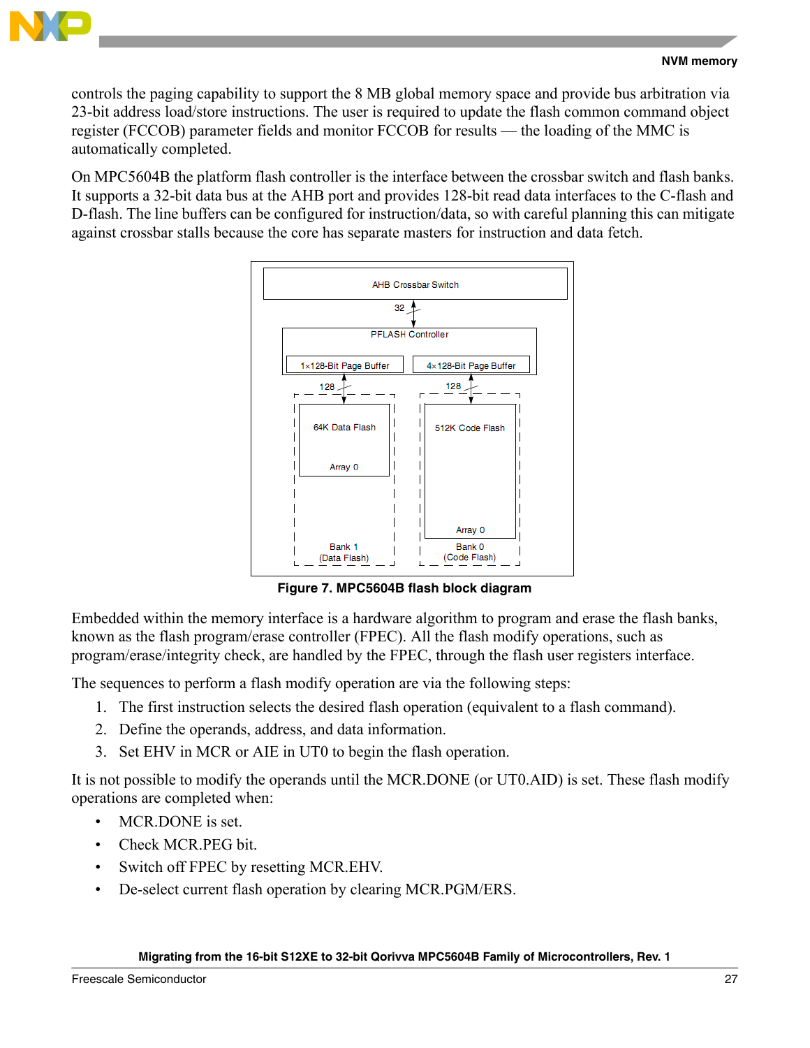

controls the paging capability to support the 8 MB global memory space and provide bus arbitration via 23-bit address load/store instructions. The user is required to update the flash common command object register (FCCOB) parameter fields and monitor FCCOB for results — the loading of the MMC is automatically completed.

On MPC5604B the platform flash controller is the interface between the crossbar switch and flash banks. It supports a 32-bit data bus at the AHB port and provides 128-bit read data interfaces to the C-flash and D-flash. The line buffers can be configured for instruction/data, so with careful planning this can mitigate against crossbar stalls because the core has separate masters for instruction and data fetch.



**Figure 7. MPC5604B flash block diagram**

Embedded within the memory interface is a hardware algorithm to program and erase the flash banks, known as the flash program/erase controller (FPEC). All the flash modify operations, such as program/erase/integrity check, are handled by the FPEC, through the flash user registers interface.

The sequences to perform a flash modify operation are via the following steps:

- 1. The first instruction selects the desired flash operation (equivalent to a flash command).
- 2. Define the operands, address, and data information.
- 3. Set EHV in MCR or AIE in UT0 to begin the flash operation.

It is not possible to modify the operands until the MCR.DONE (or UT0.AID) is set. These flash modify operations are completed when:

- MCR.DONE is set.
- Check MCR.PEG bit.
- Switch off FPEC by resetting MCR.EHV.
- De-select current flash operation by clearing MCR.PGM/ERS.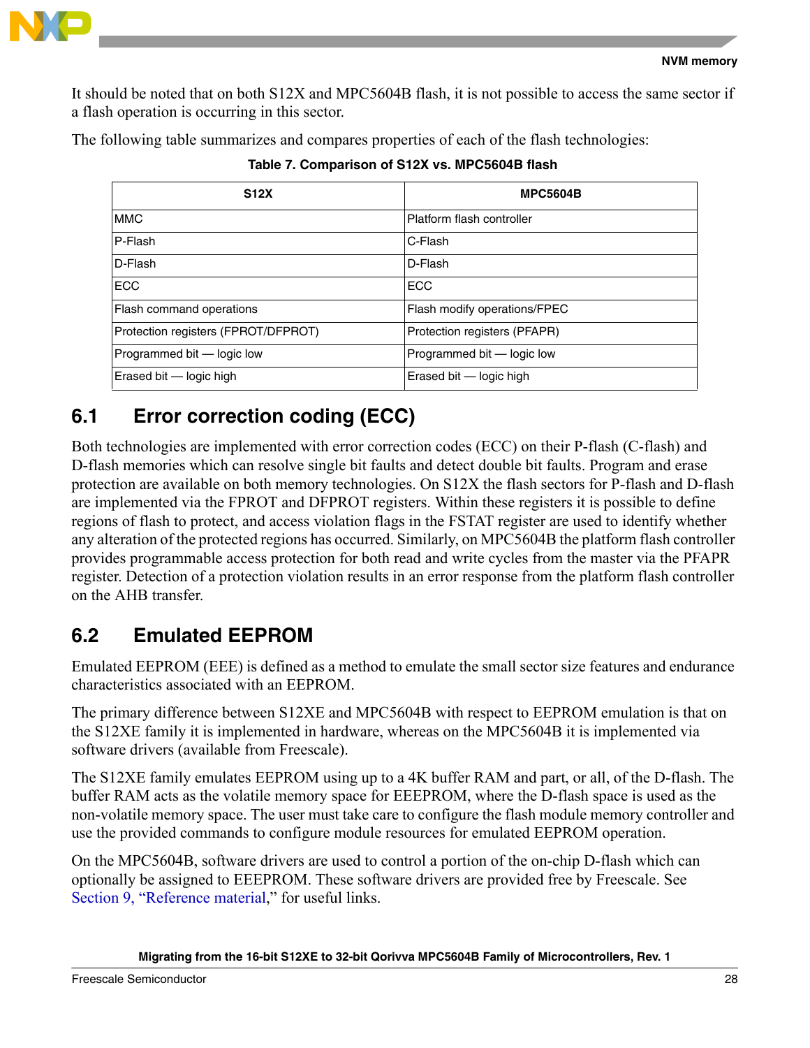

It should be noted that on both S12X and MPC5604B flash, it is not possible to access the same sector if a flash operation is occurring in this sector.

The following table summarizes and compares properties of each of the flash technologies:

| <b>S12X</b>                         | <b>MPC5604B</b>              |
|-------------------------------------|------------------------------|
| <b>MMC</b>                          | Platform flash controller    |
| P-Flash                             | C-Flash                      |
| D-Flash                             | D-Flash                      |
| <b>ECC</b>                          | <b>ECC</b>                   |
| Flash command operations            | Flash modify operations/FPEC |
| Protection registers (FPROT/DFPROT) | Protection registers (PFAPR) |
| Programmed bit - logic low          | Programmed bit - logic low   |
| Erased bit - logic high             | Erased bit - logic high      |

**Table 7. Comparison of S12X vs. MPC5604B flash**

# <span id="page-27-0"></span>**6.1 Error correction coding (ECC)**

Both technologies are implemented with error correction codes (ECC) on their P-flash (C-flash) and D-flash memories which can resolve single bit faults and detect double bit faults. Program and erase protection are available on both memory technologies. On S12X the flash sectors for P-flash and D-flash are implemented via the FPROT and DFPROT registers. Within these registers it is possible to define regions of flash to protect, and access violation flags in the FSTAT register are used to identify whether any alteration of the protected regions has occurred. Similarly, on MPC5604B the platform flash controller provides programmable access protection for both read and write cycles from the master via the PFAPR register. Detection of a protection violation results in an error response from the platform flash controller on the AHB transfer.

# <span id="page-27-1"></span>**6.2 Emulated EEPROM**

Emulated EEPROM (EEE) is defined as a method to emulate the small sector size features and endurance characteristics associated with an EEPROM.

The primary difference between S12XE and MPC5604B with respect to EEPROM emulation is that on the S12XE family it is implemented in hardware, whereas on the MPC5604B it is implemented via software drivers (available from Freescale).

The S12XE family emulates EEPROM using up to a 4K buffer RAM and part, or all, of the D-flash. The buffer RAM acts as the volatile memory space for EEEPROM, where the D-flash space is used as the non-volatile memory space. The user must take care to configure the flash module memory controller and use the provided commands to configure module resources for emulated EEPROM operation.

On the MPC5604B, software drivers are used to control a portion of the on-chip D-flash which can optionally be assigned to EEEPROM. These software drivers are provided free by Freescale. See [Section 9, "Reference material](#page-36-0)," for useful links.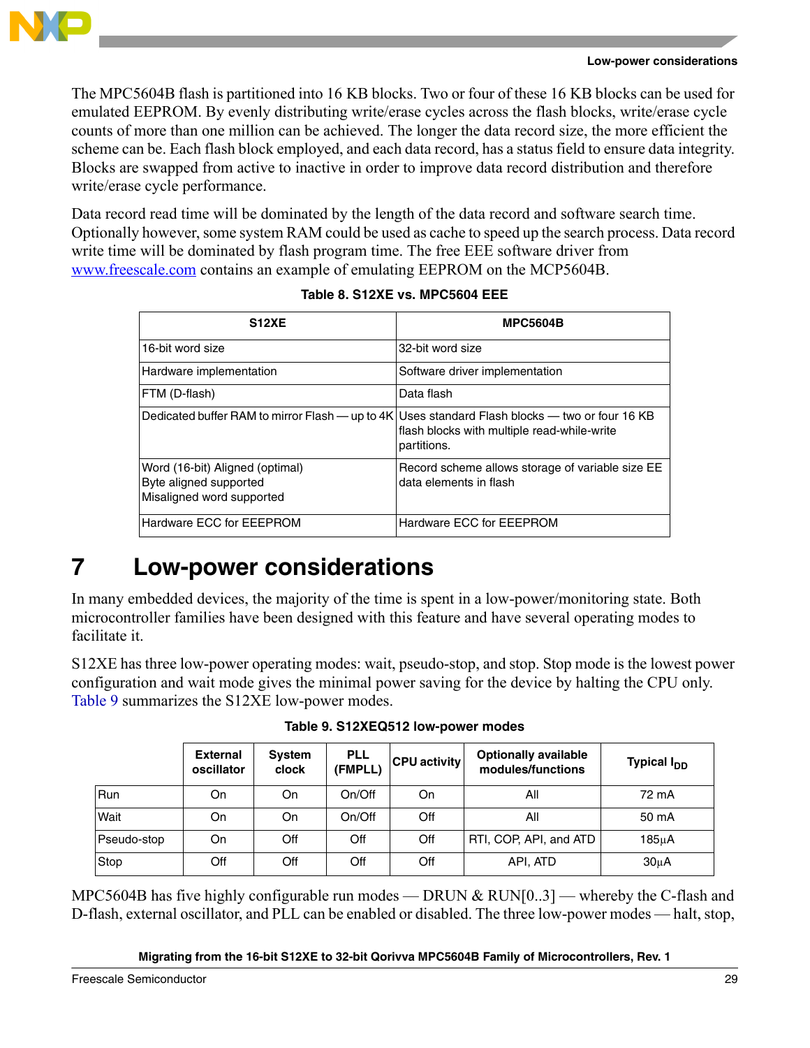

The MPC5604B flash is partitioned into 16 KB blocks. Two or four of these 16 KB blocks can be used for emulated EEPROM. By evenly distributing write/erase cycles across the flash blocks, write/erase cycle counts of more than one million can be achieved. The longer the data record size, the more efficient the scheme can be. Each flash block employed, and each data record, has a status field to ensure data integrity. Blocks are swapped from active to inactive in order to improve data record distribution and therefore write/erase cycle performance.

Data record read time will be dominated by the length of the data record and software search time. Optionally however, some system RAM could be used as cache to speed up the search process. Data record write time will be dominated by flash program time. The free EEE software driver from www.freescale.com contains an example of emulating EEPROM on the MCP5604B.

| <b>S12XE</b>                                                                           | <b>MPC5604B</b>                                                                                              |
|----------------------------------------------------------------------------------------|--------------------------------------------------------------------------------------------------------------|
| 16-bit word size                                                                       | 32-bit word size                                                                                             |
| Hardware implementation                                                                | Software driver implementation                                                                               |
| FTM (D-flash)                                                                          | Data flash                                                                                                   |
| Dedicated buffer RAM to mirror Flash — up to 4K                                        | Uses standard Flash blocks — two or four 16 KB<br>flash blocks with multiple read-while-write<br>partitions. |
| Word (16-bit) Aligned (optimal)<br>Byte aligned supported<br>Misaligned word supported | Record scheme allows storage of variable size EE<br>data elements in flash                                   |
| Hardware ECC for EEEPROM                                                               | Hardware ECC for EEEPROM                                                                                     |

|  |  | Table 8. S12XE vs. MPC5604 EEE |
|--|--|--------------------------------|
|--|--|--------------------------------|

# <span id="page-28-0"></span>**7 Low-power considerations**

In many embedded devices, the majority of the time is spent in a low-power/monitoring state. Both microcontroller families have been designed with this feature and have several operating modes to facilitate it.

S12XE has three low-power operating modes: wait, pseudo-stop, and stop. Stop mode is the lowest power configuration and wait mode gives the minimal power saving for the device by halting the CPU only. [Table 9](#page-28-1) summarizes the S12XE low-power modes.

<span id="page-28-1"></span>

|             | <b>External</b><br>oscillator | System<br>clock | <b>PLL</b><br>(FMPLL) | <b>CPU activity</b> | <b>Optionally available</b><br>modules/functions | Typical I <sub>nn</sub> |
|-------------|-------------------------------|-----------------|-----------------------|---------------------|--------------------------------------------------|-------------------------|
| Run         | On                            | On              | On/Off                | On                  | All                                              | 72 mA                   |
| Wait        | On                            | On              | On/Off                | Off                 | All                                              | 50 mA                   |
| Pseudo-stop | On                            | Off             | Off                   | Off                 | RTI, COP, API, and ATD                           | 185uA                   |
| Stop        | Off                           | Off             | Off                   | Off                 | API, ATD                                         | $30\muA$                |

MPC5604B has five highly configurable run modes — DRUN & RUN[0..3] — whereby the C-flash and D-flash, external oscillator, and PLL can be enabled or disabled. The three low-power modes — halt, stop,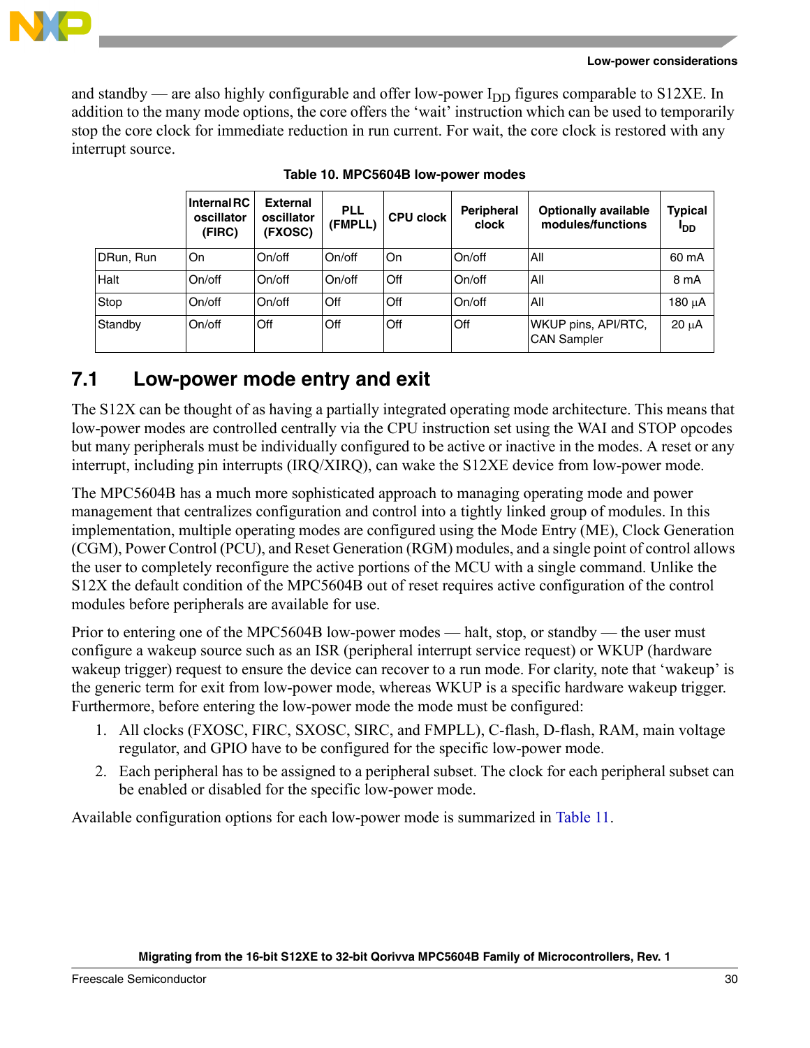

and standby — are also highly configurable and offer low-power  $I_{DD}$  figures comparable to S12XE. In addition to the many mode options, the core offers the 'wait' instruction which can be used to temporarily stop the core clock for immediate reduction in run current. For wait, the core clock is restored with any interrupt source.

|           | <b>Internal RC</b><br>oscillator<br>(FIRC) | <b>External</b><br>oscillator<br>(FXOSC) | <b>PLL</b><br>(FMPLL) | <b>CPU clock</b> | <b>Peripheral</b><br>clock | <b>Optionally available</b><br>modules/functions | <b>Typical</b><br>l <sub>DD</sub> |
|-----------|--------------------------------------------|------------------------------------------|-----------------------|------------------|----------------------------|--------------------------------------------------|-----------------------------------|
| DRun, Run | On                                         | On/off                                   | On/off                | On               | On/off                     | All                                              | 60 mA                             |
| Halt      | On/off                                     | On/off                                   | On/off                | Off              | On/off                     | All                                              | 8 mA                              |
| Stop      | On/off                                     | On/off                                   | Off                   | Off              | On/off                     | All                                              | 180 uA                            |
| Standby   | On/off                                     | Off                                      | Off                   | Off              | Off                        | WKUP pins, API/RTC,<br><b>CAN Sampler</b>        | $20 \mu A$                        |

**Table 10. MPC5604B low-power modes**

## <span id="page-29-0"></span>**7.1 Low-power mode entry and exit**

The S12X can be thought of as having a partially integrated operating mode architecture. This means that low-power modes are controlled centrally via the CPU instruction set using the WAI and STOP opcodes but many peripherals must be individually configured to be active or inactive in the modes. A reset or any interrupt, including pin interrupts (IRQ/XIRQ), can wake the S12XE device from low-power mode.

The MPC5604B has a much more sophisticated approach to managing operating mode and power management that centralizes configuration and control into a tightly linked group of modules. In this implementation, multiple operating modes are configured using the Mode Entry (ME), Clock Generation (CGM), Power Control (PCU), and Reset Generation (RGM) modules, and a single point of control allows the user to completely reconfigure the active portions of the MCU with a single command. Unlike the S12X the default condition of the MPC5604B out of reset requires active configuration of the control modules before peripherals are available for use.

Prior to entering one of the MPC5604B low-power modes — halt, stop, or standby — the user must configure a wakeup source such as an ISR (peripheral interrupt service request) or WKUP (hardware wakeup trigger) request to ensure the device can recover to a run mode. For clarity, note that 'wakeup' is the generic term for exit from low-power mode, whereas WKUP is a specific hardware wakeup trigger. Furthermore, before entering the low-power mode the mode must be configured:

- 1. All clocks (FXOSC, FIRC, SXOSC, SIRC, and FMPLL), C-flash, D-flash, RAM, main voltage regulator, and GPIO have to be configured for the specific low-power mode.
- 2. Each peripheral has to be assigned to a peripheral subset. The clock for each peripheral subset can be enabled or disabled for the specific low-power mode.

Available configuration options for each low-power mode is summarized in [Table 11](#page-30-0).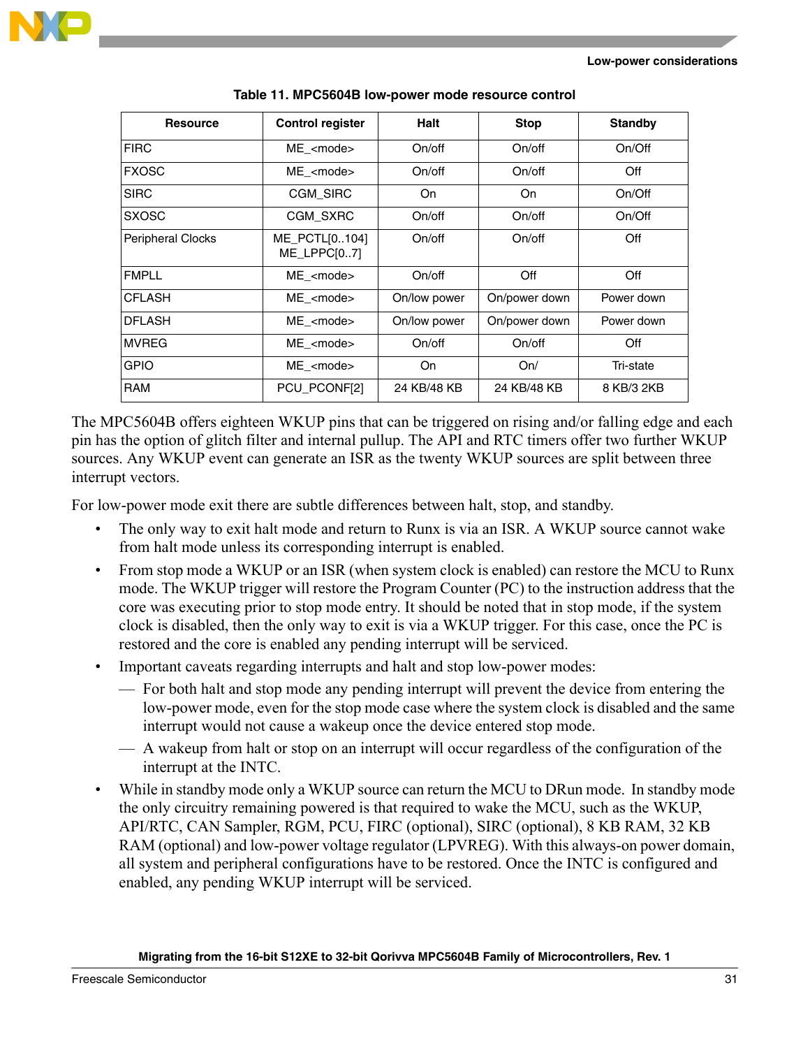

<span id="page-30-0"></span>

| <b>Resource</b>          | <b>Control register</b>                | <b>Halt</b>                   | <b>Stop</b>   | <b>Standby</b> |
|--------------------------|----------------------------------------|-------------------------------|---------------|----------------|
| <b>FIRC</b>              | $ME$ <mode></mode>                     | On/off                        | On/off        | On/Off         |
| <b>FXOSC</b>             | ME <mode></mode>                       | On/off                        | On/off        | Off            |
| <b>SIRC</b>              | <b>CGM SIRC</b>                        | On.                           | On.           | On/Off         |
| <b>SXOSC</b>             | <b>CGM SXRC</b>                        | On/off                        | On/off        | On/Off         |
| <b>Peripheral Clocks</b> | ME_PCTL[0104]<br>On/off<br>ME LPPC[07] |                               | On/off        | Off            |
| <b>FMPLL</b>             | ME <mode></mode>                       | On/off                        | Off           | Off            |
| <b>CFLASH</b>            | ME <mode><br/>On/low power</mode>      |                               | On/power down | Power down     |
| <b>DFLASH</b>            | ME <mode></mode>                       | On/power down<br>On/low power |               | Power down     |
| <b>IMVREG</b>            | ME <mode></mode>                       | On/off                        | On/off        | Off            |
| <b>GPIO</b>              | ME <mode></mode>                       | On                            | On/           | Tri-state      |
| <b>RAM</b>               | PCU_PCONF[2]                           | 24 KB/48 KB                   | 24 KB/48 KB   | 8 KB/3 2KB     |

**Table 11. MPC5604B low-power mode resource control**

The MPC5604B offers eighteen WKUP pins that can be triggered on rising and/or falling edge and each pin has the option of glitch filter and internal pullup. The API and RTC timers offer two further WKUP sources. Any WKUP event can generate an ISR as the twenty WKUP sources are split between three interrupt vectors.

For low-power mode exit there are subtle differences between halt, stop, and standby.

- The only way to exit halt mode and return to Runx is via an ISR. A WKUP source cannot wake from halt mode unless its corresponding interrupt is enabled.
- From stop mode a WKUP or an ISR (when system clock is enabled) can restore the MCU to Runx mode. The WKUP trigger will restore the Program Counter (PC) to the instruction address that the core was executing prior to stop mode entry. It should be noted that in stop mode, if the system clock is disabled, then the only way to exit is via a WKUP trigger. For this case, once the PC is restored and the core is enabled any pending interrupt will be serviced.
- Important caveats regarding interrupts and halt and stop low-power modes:
	- For both halt and stop mode any pending interrupt will prevent the device from entering the low-power mode, even for the stop mode case where the system clock is disabled and the same interrupt would not cause a wakeup once the device entered stop mode.
	- A wakeup from halt or stop on an interrupt will occur regardless of the configuration of the interrupt at the INTC.
- While in standby mode only a WKUP source can return the MCU to DRun mode. In standby mode the only circuitry remaining powered is that required to wake the MCU, such as the WKUP, API/RTC, CAN Sampler, RGM, PCU, FIRC (optional), SIRC (optional), 8 KB RAM, 32 KB RAM (optional) and low-power voltage regulator (LPVREG). With this always-on power domain, all system and peripheral configurations have to be restored. Once the INTC is configured and enabled, any pending WKUP interrupt will be serviced.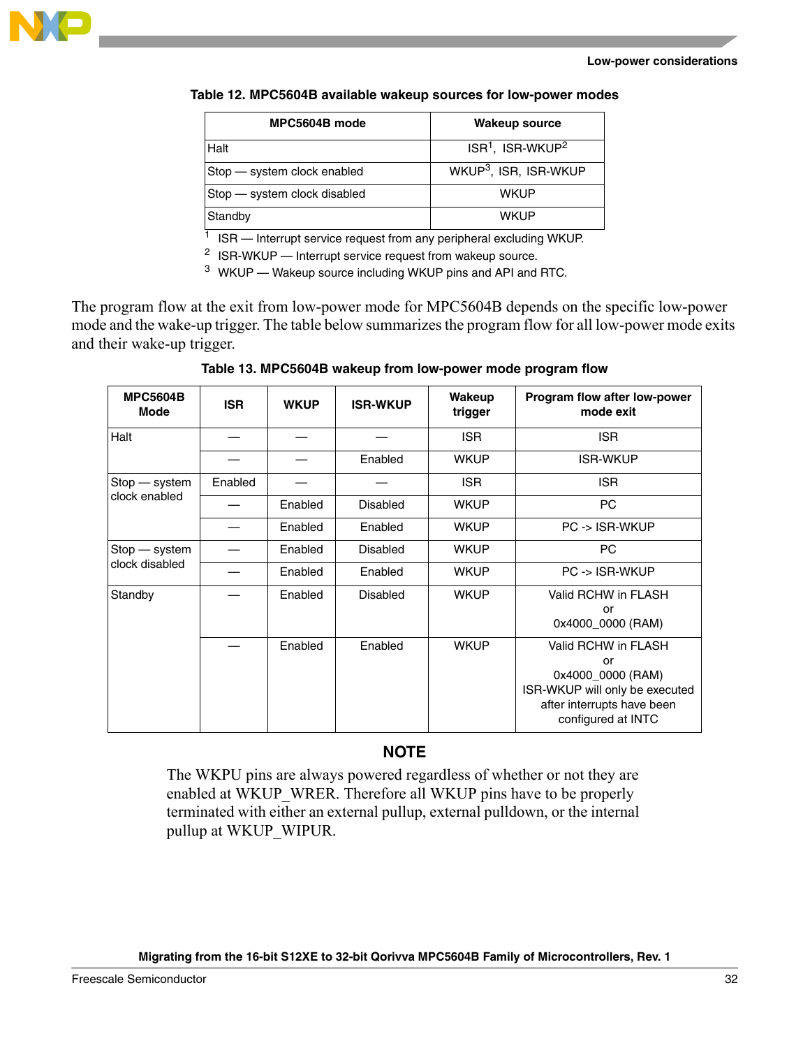

#### **Low-power considerations**

| Table 12. MPC5604B available wakeup sources for low-power modes |  |  |  |
|-----------------------------------------------------------------|--|--|--|
|-----------------------------------------------------------------|--|--|--|

| MPC5604B mode                | <b>Wakeup source</b>              |
|------------------------------|-----------------------------------|
| Halt                         | $ISR1$ , ISR-WKUP <sup>2</sup>    |
| Stop – system clock enabled  | WKUP <sup>3</sup> , ISR, ISR-WKUP |
| Stop - system clock disabled | <b>WKUP</b>                       |
| Standby                      | <b>WKUP</b>                       |

 $1$  ISR  $-$  Interrupt service request from any peripheral excluding WKUP.

<sup>2</sup> ISR-WKUP — Interrupt service request from wakeup source.

<sup>3</sup> WKUP — Wakeup source including WKUP pins and API and RTC.

The program flow at the exit from low-power mode for MPC5604B depends on the specific low-power mode and the wake-up trigger. The table below summarizes the program flow for all low-power mode exits and their wake-up trigger.

**Table 13. MPC5604B wakeup from low-power mode program flow**

| <b>MPC5604B</b><br><b>Mode</b> | <b>ISR</b> | <b>WKUP</b> | <b>ISR-WKUP</b> | Wakeup<br>trigger | Program flow after low-power<br>mode exit                                                                                            |
|--------------------------------|------------|-------------|-----------------|-------------------|--------------------------------------------------------------------------------------------------------------------------------------|
| Halt                           |            |             |                 | <b>ISR</b>        | <b>ISR</b>                                                                                                                           |
|                                |            |             | Enabled         | <b>WKUP</b>       | <b>ISR-WKUP</b>                                                                                                                      |
| Stop - system                  | Enabled    |             |                 | ISR.              | <b>ISR</b>                                                                                                                           |
| clock enabled                  |            | Enabled     | <b>Disabled</b> | <b>WKUP</b>       | PC                                                                                                                                   |
|                                |            | Enabled     | Enabled         | <b>WKUP</b>       | PC -> ISR-WKUP                                                                                                                       |
| Stop - system                  |            | Enabled     | <b>Disabled</b> | <b>WKUP</b>       | PC.                                                                                                                                  |
| clock disabled                 |            | Enabled     | Enabled         | <b>WKUP</b>       | PC -> ISR-WKUP                                                                                                                       |
| Standby                        |            | Enabled     | <b>Disabled</b> | <b>WKUP</b>       | Valid RCHW in FLASH<br>or<br>0x4000_0000 (RAM)                                                                                       |
|                                |            | Enabled     | Enabled         | <b>WKUP</b>       | Valid RCHW in FLASH<br>or<br>0x4000_0000 (RAM)<br>ISR-WKUP will only be executed<br>after interrupts have been<br>configured at INTC |

### **NOTE**

The WKPU pins are always powered regardless of whether or not they are enabled at WKUP\_WRER. Therefore all WKUP pins have to be properly terminated with either an external pullup, external pulldown, or the internal pullup at WKUP\_WIPUR.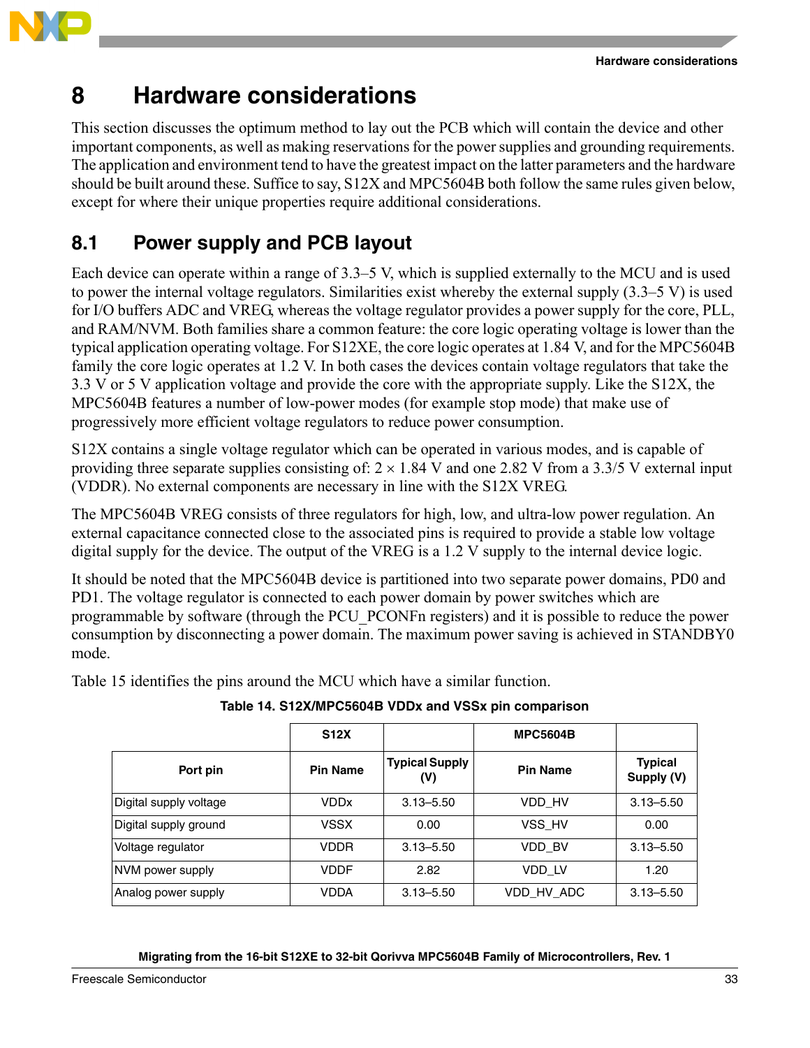



# <span id="page-32-0"></span>**8 Hardware considerations**

This section discusses the optimum method to lay out the PCB which will contain the device and other important components, as well as making reservations for the power supplies and grounding requirements. The application and environment tend to have the greatest impact on the latter parameters and the hardware should be built around these. Suffice to say, S12X and MPC5604B both follow the same rules given below, except for where their unique properties require additional considerations.

# <span id="page-32-1"></span>**8.1 Power supply and PCB layout**

Each device can operate within a range of 3.3–5 V, which is supplied externally to the MCU and is used to power the internal voltage regulators. Similarities exist whereby the external supply  $(3.3–5 V)$  is used for I/O buffers ADC and VREG, whereas the voltage regulator provides a power supply for the core, PLL, and RAM/NVM. Both families share a common feature: the core logic operating voltage is lower than the typical application operating voltage. For S12XE, the core logic operates at 1.84 V, and for the MPC5604B family the core logic operates at 1.2 V. In both cases the devices contain voltage regulators that take the 3.3 V or 5 V application voltage and provide the core with the appropriate supply. Like the S12X, the MPC5604B features a number of low-power modes (for example stop mode) that make use of progressively more efficient voltage regulators to reduce power consumption.

S12X contains a single voltage regulator which can be operated in various modes, and is capable of providing three separate supplies consisting of:  $2 \times 1.84$  V and one 2.82 V from a 3.3/5 V external input (VDDR). No external components are necessary in line with the S12X VREG.

The MPC5604B VREG consists of three regulators for high, low, and ultra-low power regulation. An external capacitance connected close to the associated pins is required to provide a stable low voltage digital supply for the device. The output of the VREG is a 1.2 V supply to the internal device logic.

It should be noted that the MPC5604B device is partitioned into two separate power domains, PD0 and PD1. The voltage regulator is connected to each power domain by power switches which are programmable by software (through the PCU\_PCONFn registers) and it is possible to reduce the power consumption by disconnecting a power domain. The maximum power saving is achieved in STANDBY0 mode.

Table 15 identifies the pins around the MCU which have a similar function.

|                        | <b>S12X</b>     |                              | <b>MPC5604B</b> |                              |
|------------------------|-----------------|------------------------------|-----------------|------------------------------|
| Port pin               | <b>Pin Name</b> | <b>Typical Supply</b><br>(V) | <b>Pin Name</b> | <b>Typical</b><br>Supply (V) |
| Digital supply voltage | VDDx            | $3.13 - 5.50$                | VDD HV          | $3.13 - 5.50$                |
| Digital supply ground  | <b>VSSX</b>     | 0.00                         | VSS HV          | 0.00                         |
| Voltage regulator      | <b>VDDR</b>     | $3.13 - 5.50$                | VDD BV          | $3.13 - 5.50$                |
| NVM power supply       | VDDF            | 2.82                         | VDD LV          | 1.20                         |
| Analog power supply    | VDDA            | $3.13 - 5.50$                | VDD HV ADC      | $3.13 - 5.50$                |

### **Table 14. S12X/MPC5604B VDDx and VSSx pin comparison**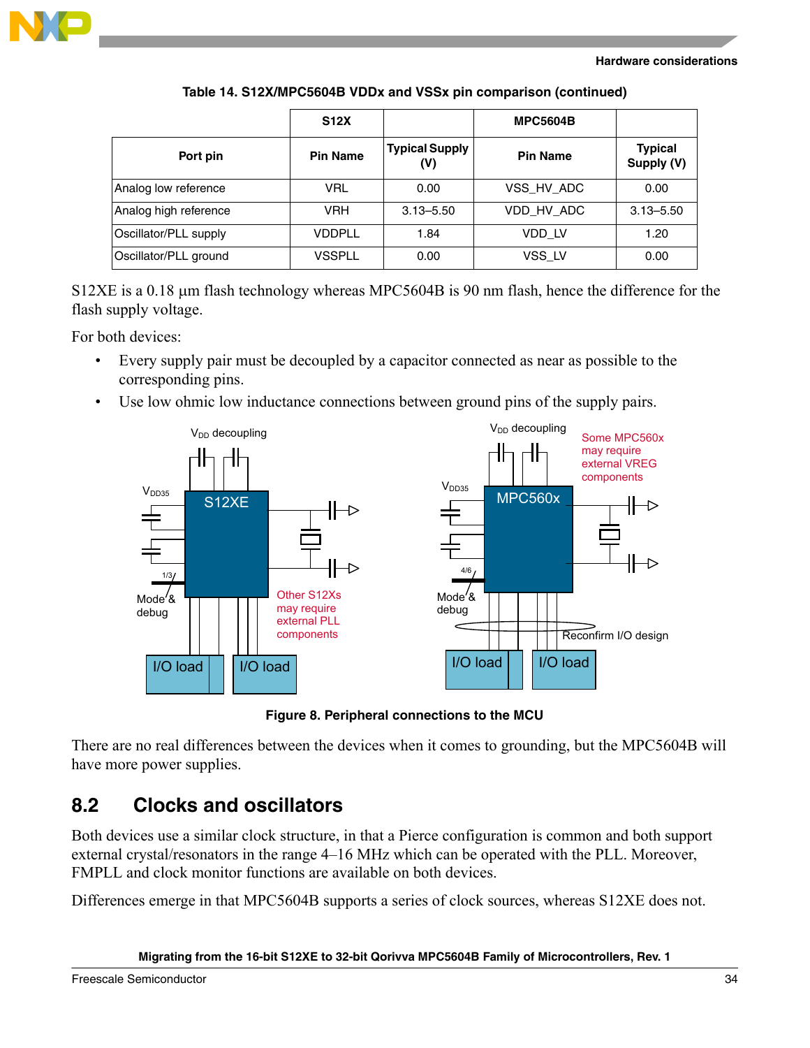

#### **Hardware considerations**

|                       | <b>S12X</b>     |                              | <b>MPC5604B</b> |                              |
|-----------------------|-----------------|------------------------------|-----------------|------------------------------|
| Port pin              | <b>Pin Name</b> | <b>Typical Supply</b><br>(V) | <b>Pin Name</b> | <b>Typical</b><br>Supply (V) |
| Analog low reference  | <b>VRL</b>      | 0.00                         | VSS_HV_ADC      | 0.00                         |
| Analog high reference | <b>VRH</b>      | $3.13 - 5.50$                | VDD HV ADC      | $3.13 - 5.50$                |
| Oscillator/PLL supply | <b>VDDPLL</b>   | 1.84                         | VDD LV          | 1.20                         |
| Oscillator/PLL ground | VSSPLL          | 0.00                         | VSS LV          | 0.00                         |

**Table 14. S12X/MPC5604B VDDx and VSSx pin comparison (continued)**

S12XE is a 0.18  $\mu$ m flash technology whereas MPC5604B is 90 nm flash, hence the difference for the flash supply voltage.

For both devices:

- Every supply pair must be decoupled by a capacitor connected as near as possible to the corresponding pins.
- Use low ohmic low inductance connections between ground pins of the supply pairs.



**Figure 8. Peripheral connections to the MCU**

There are no real differences between the devices when it comes to grounding, but the MPC5604B will have more power supplies.

## <span id="page-33-0"></span>**8.2 Clocks and oscillators**

Both devices use a similar clock structure, in that a Pierce configuration is common and both support external crystal/resonators in the range 4–16 MHz which can be operated with the PLL. Moreover, FMPLL and clock monitor functions are available on both devices.

Differences emerge in that MPC5604B supports a series of clock sources, whereas S12XE does not.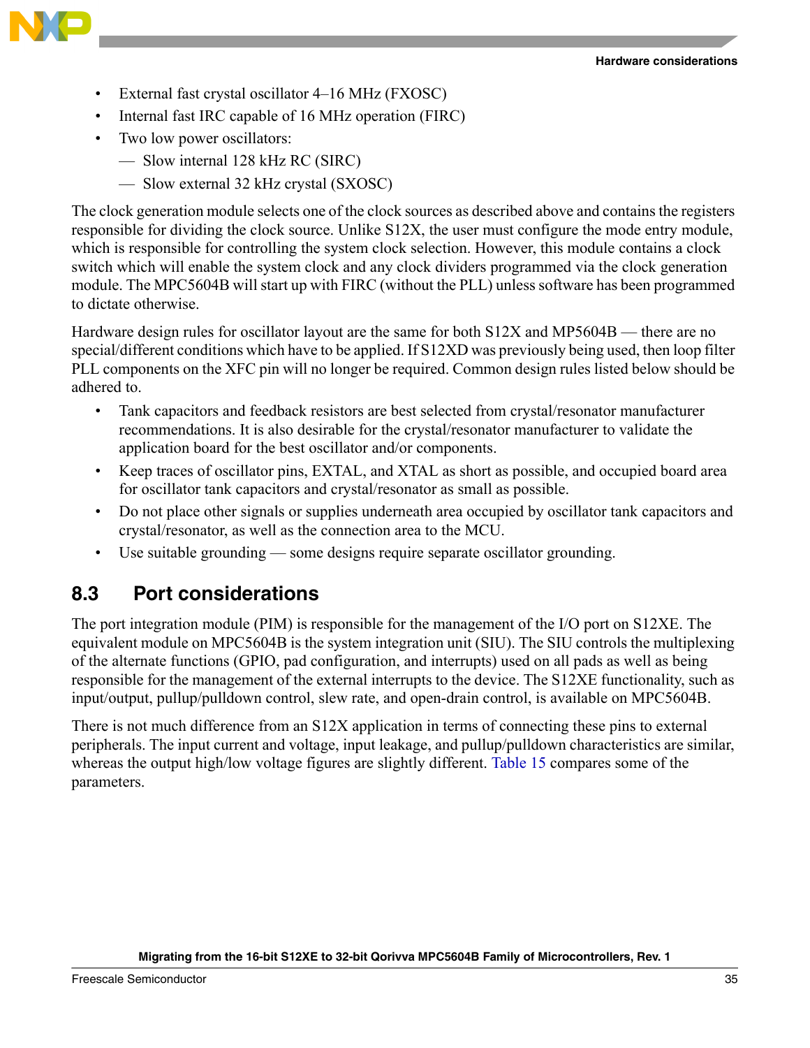

- External fast crystal oscillator 4–16 MHz (FXOSC)
- Internal fast IRC capable of 16 MHz operation (FIRC)
- Two low power oscillators:
	- Slow internal 128 kHz RC (SIRC)
	- Slow external 32 kHz crystal (SXOSC)

The clock generation module selects one of the clock sources as described above and contains the registers responsible for dividing the clock source. Unlike S12X, the user must configure the mode entry module, which is responsible for controlling the system clock selection. However, this module contains a clock switch which will enable the system clock and any clock dividers programmed via the clock generation module. The MPC5604B will start up with FIRC (without the PLL) unless software has been programmed to dictate otherwise.

Hardware design rules for oscillator layout are the same for both S12X and MP5604B — there are no special/different conditions which have to be applied. If S12XD was previously being used, then loop filter PLL components on the XFC pin will no longer be required. Common design rules listed below should be adhered to.

- Tank capacitors and feedback resistors are best selected from crystal/resonator manufacturer recommendations. It is also desirable for the crystal/resonator manufacturer to validate the application board for the best oscillator and/or components.
- Keep traces of oscillator pins, EXTAL, and XTAL as short as possible, and occupied board area for oscillator tank capacitors and crystal/resonator as small as possible.
- Do not place other signals or supplies underneath area occupied by oscillator tank capacitors and crystal/resonator, as well as the connection area to the MCU.
- Use suitable grounding some designs require separate oscillator grounding.

## <span id="page-34-0"></span>**8.3 Port considerations**

The port integration module (PIM) is responsible for the management of the I/O port on S12XE. The equivalent module on MPC5604B is the system integration unit (SIU). The SIU controls the multiplexing of the alternate functions (GPIO, pad configuration, and interrupts) used on all pads as well as being responsible for the management of the external interrupts to the device. The S12XE functionality, such as input/output, pullup/pulldown control, slew rate, and open-drain control, is available on MPC5604B.

There is not much difference from an S12X application in terms of connecting these pins to external peripherals. The input current and voltage, input leakage, and pullup/pulldown characteristics are similar, whereas the output high/low voltage figures are slightly different. [Table 15](#page-35-0) compares some of the parameters.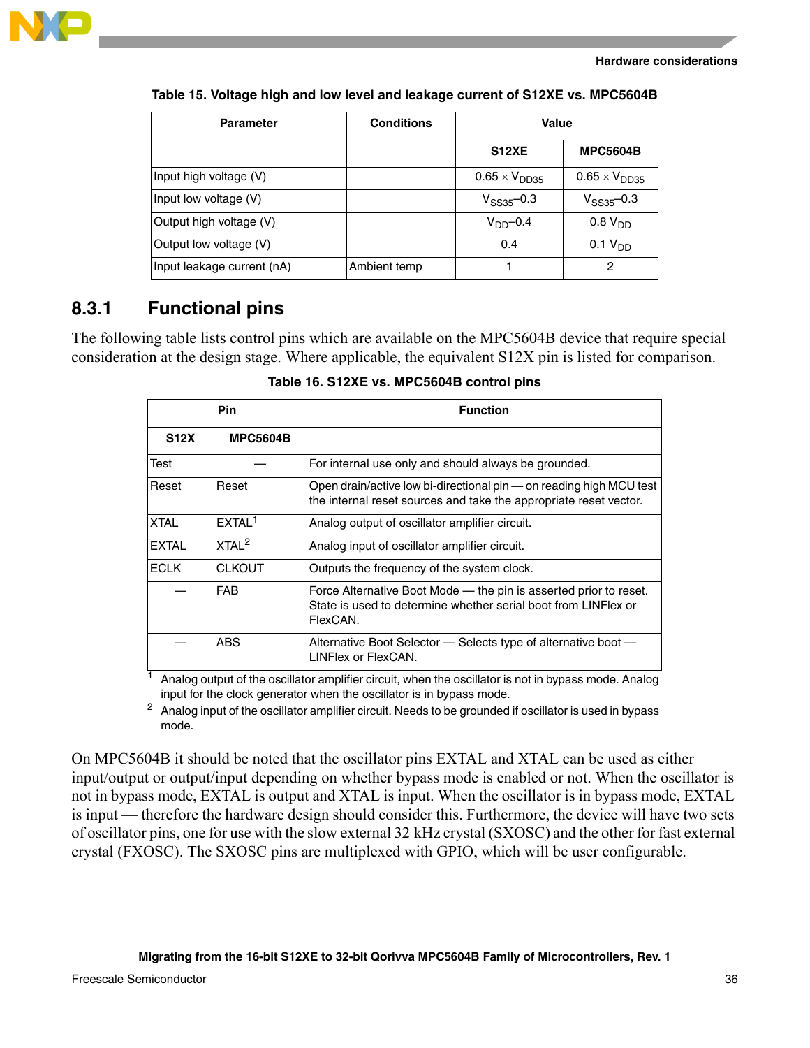

| <b>Parameter</b>           | <b>Conditions</b> | Value                  |                        |  |
|----------------------------|-------------------|------------------------|------------------------|--|
|                            |                   | <b>S12XE</b>           | <b>MPC5604B</b>        |  |
| Input high voltage (V)     |                   | $0.65 \times V_{DD35}$ | $0.65 \times V_{DD35}$ |  |
| Input low voltage (V)      |                   | $V_{SS35}$ –0.3        | $V_{SS35}$ –0.3        |  |
| Output high voltage (V)    |                   | $VDD$ -0.4             | 0.8 V <sub>DD</sub>    |  |
| Output low voltage (V)     |                   | 0.4                    | 0.1 V <sub>DD</sub>    |  |
| Input leakage current (nA) | Ambient temp      |                        | 2                      |  |

#### <span id="page-35-0"></span>**Table 15. Voltage high and low level and leakage current of S12XE vs. MPC5604B**

## **8.3.1 Functional pins**

The following table lists control pins which are available on the MPC5604B device that require special consideration at the design stage. Where applicable, the equivalent S12X pin is listed for comparison.

| <b>Pin</b>   |                    | <b>Function</b>                                                                                                                                 |  |  |
|--------------|--------------------|-------------------------------------------------------------------------------------------------------------------------------------------------|--|--|
| <b>S12X</b>  | <b>MPC5604B</b>    |                                                                                                                                                 |  |  |
| Test         |                    | For internal use only and should always be grounded.                                                                                            |  |  |
| Reset        | Reset              | Open drain/active low bi-directional pin — on reading high MCU test<br>the internal reset sources and take the appropriate reset vector.        |  |  |
| <b>XTAL</b>  | EXTAL <sup>1</sup> | Analog output of oscillator amplifier circuit.                                                                                                  |  |  |
| <b>EXTAL</b> | XTAL <sup>2</sup>  | Analog input of oscillator amplifier circuit.                                                                                                   |  |  |
| <b>ECLK</b>  | <b>CLKOUT</b>      | Outputs the frequency of the system clock.                                                                                                      |  |  |
|              | <b>FAB</b>         | Force Alternative Boot Mode — the pin is asserted prior to reset.<br>State is used to determine whether serial boot from LINFlex or<br>FlexCAN. |  |  |
|              | <b>ABS</b>         | Alternative Boot Selector - Selects type of alternative boot -<br>LINFlex or FlexCAN.                                                           |  |  |

**Table 16. S12XE vs. MPC5604B control pins**

 $<sup>1</sup>$  Analog output of the oscillator amplifier circuit, when the oscillator is not in bypass mode. Analog</sup> input for the clock generator when the oscillator is in bypass mode.

<sup>2</sup> Analog input of the oscillator amplifier circuit. Needs to be grounded if oscillator is used in bypass mode.

On MPC5604B it should be noted that the oscillator pins EXTAL and XTAL can be used as either input/output or output/input depending on whether bypass mode is enabled or not. When the oscillator is not in bypass mode, EXTAL is output and XTAL is input. When the oscillator is in bypass mode, EXTAL is input — therefore the hardware design should consider this. Furthermore, the device will have two sets of oscillator pins, one for use with the slow external 32 kHz crystal (SXOSC) and the other for fast external crystal (FXOSC). The SXOSC pins are multiplexed with GPIO, which will be user configurable.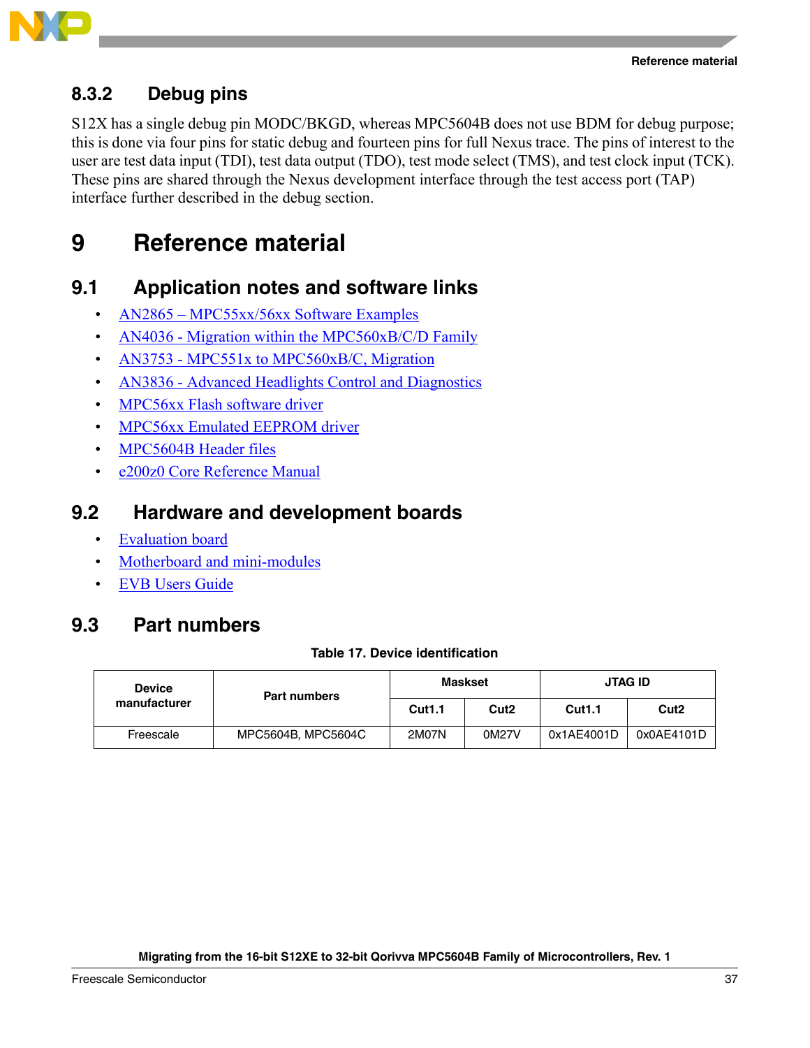



## **8.3.2 Debug pins**

S12X has a single debug pin MODC/BKGD, whereas MPC5604B does not use BDM for debug purpose; this is done via four pins for static debug and fourteen pins for full Nexus trace. The pins of interest to the user are test data input (TDI), test data output (TDO), test mode select (TMS), and test clock input (TCK). These pins are shared through the Nexus development interface through the test access port (TAP) interface further described in the debug section.

# <span id="page-36-0"></span>**9 Reference material**

## <span id="page-36-1"></span>**9.1 Application notes and software links**

- AN2865 MPC55xx/56xx Software Examples
- AN4036 Migration within the MPC560xB/C/D Family
- AN3753 MPC551x to MPC560xB/C, Migration
- AN3836 Advanced Headlights Control and Diagnostics
- MPC56xx Flash software driver
- MPC56xx Emulated EEPROM driver
- MPC5604B Header files
- e200z0 Core Reference Manual

## <span id="page-36-2"></span>**9.2 Hardware and development boards**

- Evaluation board
- Motherboard and mini-modules
- EVB Users Guide

## <span id="page-36-3"></span>**9.3 Part numbers**

### **Table 17. Device identification**

| <b>Device</b><br>manufacturer | <b>Part numbers</b> | <b>Maskset</b> |                  | <b>JTAG ID</b> |                  |
|-------------------------------|---------------------|----------------|------------------|----------------|------------------|
|                               |                     | <b>Cut1.1</b>  | Cut <sub>2</sub> | <b>Cut1.1</b>  | Cut <sub>2</sub> |
| Freescale                     | MPC5604B, MPC5604C  | 2M07N          | 0M27V            | 0x1AE4001D     | 0x0AE4101D       |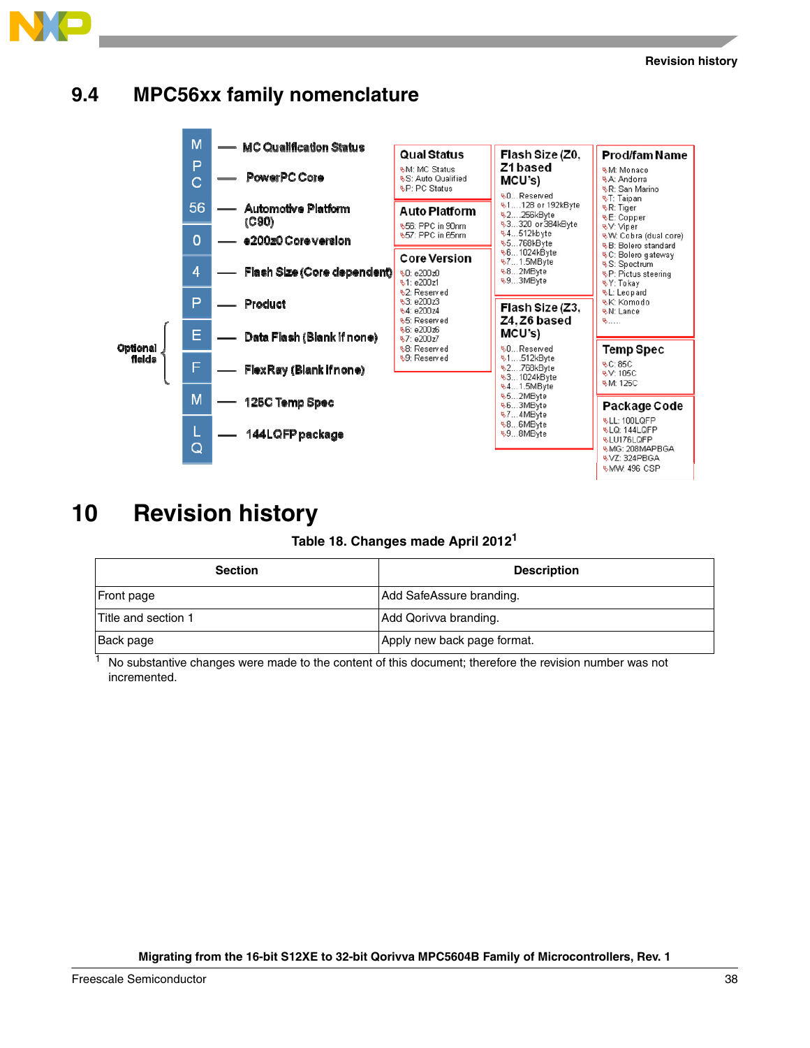

# <span id="page-37-0"></span>**9.4 MPC56xx family nomenclature**

**&MW: 496 CSP** 

# <span id="page-37-1"></span>**10 Revision history**

### **Table 18. Changes made April 20121**

| <b>Section</b>      | <b>Description</b>          |
|---------------------|-----------------------------|
| <b>Front page</b>   | Add SafeAssure branding.    |
| Title and section 1 | Add Qorivva branding.       |
| Back page           | Apply new back page format. |

<sup>1</sup> No substantive changes were made to the content of this document; therefore the revision number was not incremented.